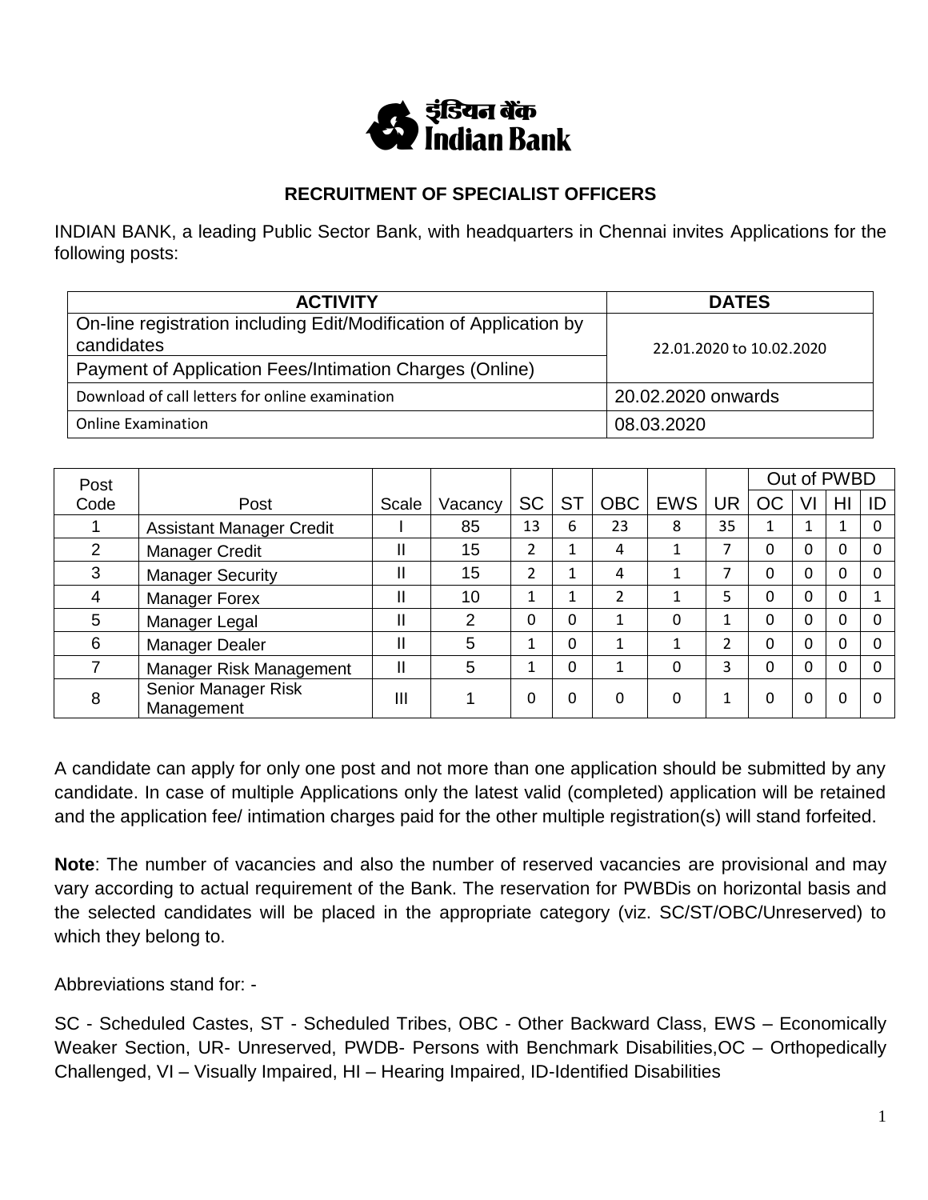

# **RECRUITMENT OF SPECIALIST OFFICERS**

INDIAN BANK, a leading Public Sector Bank, with headquarters in Chennai invites Applications for the following posts:

| <b>ACTIVITY</b>                                                    | <b>DATES</b>             |
|--------------------------------------------------------------------|--------------------------|
| On-line registration including Edit/Modification of Application by |                          |
| candidates                                                         | 22.01.2020 to 10.02.2020 |
| Payment of Application Fees/Intimation Charges (Online)            |                          |
| Download of call letters for online examination                    | 20.02.2020 onwards       |
| <b>Online Examination</b>                                          | 08.03.2020               |

| Post |                                   |       |         |           |           |            |            |           |          |    | Out of PWBD |    |
|------|-----------------------------------|-------|---------|-----------|-----------|------------|------------|-----------|----------|----|-------------|----|
| Code | Post                              | Scale | Vacancy | <b>SC</b> | <b>ST</b> | <b>OBC</b> | <b>EWS</b> | <b>UR</b> | ОC       | VI | HI          | ID |
|      | <b>Assistant Manager Credit</b>   |       | 85      | 13        | 6         | 23         | 8          | 35        |          |    |             |    |
| 2    | Manager Credit                    |       | 15      | 2         | 1         | 4          |            | 7         | 0        | 0  | 0           |    |
| 3    | <b>Manager Security</b>           |       | 15      | 2         | 1         | 4          |            | ⇁         | 0        | 0  | 0           |    |
| 4    | Manager Forex                     |       | 10      | 1         | 1         | 2          |            | 5         | 0        | 0  | 0           |    |
| 5    | Manager Legal                     |       | っ       | 0         | 0         | 1          | 0          | 1         | 0        | 0  | 0           |    |
| 6    | Manager Dealer                    |       | 5       | 1         | 0         | 1          |            | 2         | 0        | 0  | 0           |    |
|      | Manager Risk Management           |       | 5       | 1         | 0         | 1          | 0          | 3         | $\Omega$ | 0  | 0           |    |
| 8    | Senior Manager Risk<br>Management | Ш     |         | 0         | 0         | 0          | 0          | 1         | 0        | 0  | 0           |    |

A candidate can apply for only one post and not more than one application should be submitted by any candidate. In case of multiple Applications only the latest valid (completed) application will be retained and the application fee/ intimation charges paid for the other multiple registration(s) will stand forfeited.

**Note**: The number of vacancies and also the number of reserved vacancies are provisional and may vary according to actual requirement of the Bank. The reservation for PWBDis on horizontal basis and the selected candidates will be placed in the appropriate category (viz. SC/ST/OBC/Unreserved) to which they belong to.

Abbreviations stand for: -

SC - Scheduled Castes, ST - Scheduled Tribes, OBC - Other Backward Class, EWS – Economically Weaker Section, UR- Unreserved, PWDB- Persons with Benchmark Disabilities, OC – Orthopedically Challenged, VI – Visually Impaired, HI – Hearing Impaired, ID-Identified Disabilities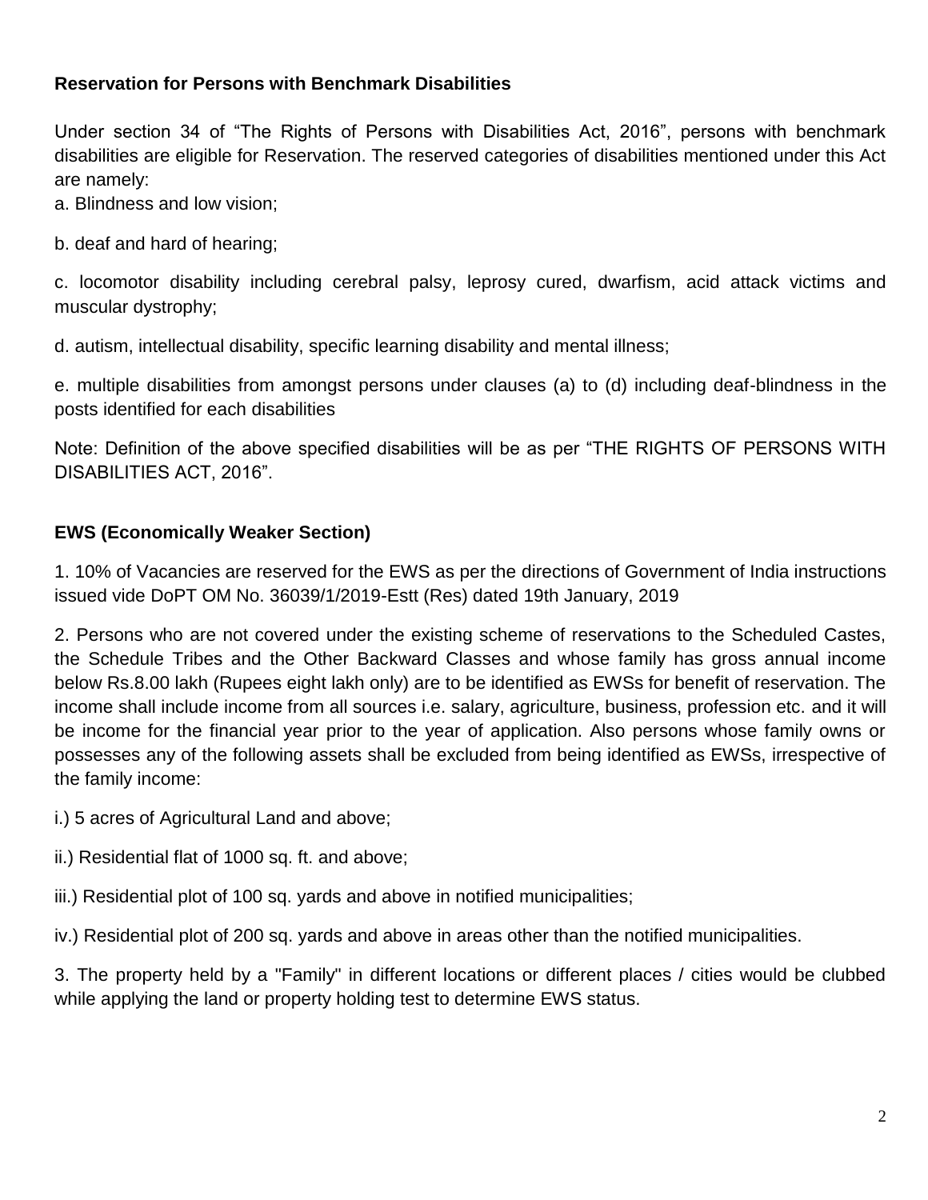## **Reservation for Persons with Benchmark Disabilities**

Under section 34 of "The Rights of Persons with Disabilities Act, 2016", persons with benchmark disabilities are eligible for Reservation. The reserved categories of disabilities mentioned under this Act are namely:

a. Blindness and low vision;

b. deaf and hard of hearing;

c. locomotor disability including cerebral palsy, leprosy cured, dwarfism, acid attack victims and muscular dystrophy;

d. autism, intellectual disability, specific learning disability and mental illness;

e. multiple disabilities from amongst persons under clauses (a) to (d) including deaf-blindness in the posts identified for each disabilities

Note: Definition of the above specified disabilities will be as per "THE RIGHTS OF PERSONS WITH DISABILITIES ACT, 2016".

# **EWS (Economically Weaker Section)**

1. 10% of Vacancies are reserved for the EWS as per the directions of Government of India instructions issued vide DoPT OM No. 36039/1/2019-Estt (Res) dated 19th January, 2019

2. Persons who are not covered under the existing scheme of reservations to the Scheduled Castes, the Schedule Tribes and the Other Backward Classes and whose family has gross annual income below Rs.8.00 lakh (Rupees eight lakh only) are to be identified as EWSs for benefit of reservation. The income shall include income from all sources i.e. salary, agriculture, business, profession etc. and it will be income for the financial year prior to the year of application. Also persons whose family owns or possesses any of the following assets shall be excluded from being identified as EWSs, irrespective of the family income:

i.) 5 acres of Agricultural Land and above;

ii.) Residential flat of 1000 sq. ft. and above;

iii.) Residential plot of 100 sq. yards and above in notified municipalities;

iv.) Residential plot of 200 sq. yards and above in areas other than the notified municipalities.

3. The property held by a "Family" in different locations or different places / cities would be clubbed while applying the land or property holding test to determine EWS status.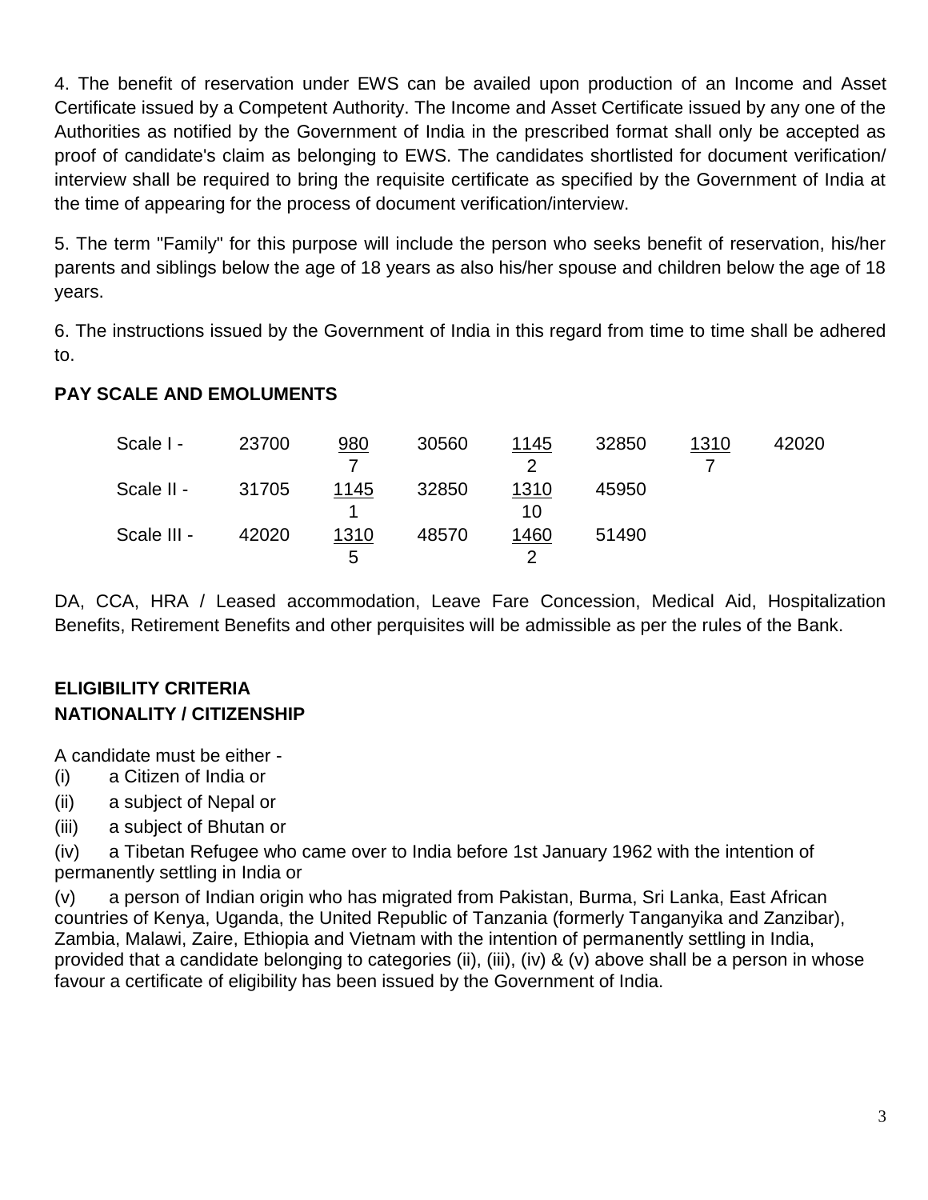4. The benefit of reservation under EWS can be availed upon production of an Income and Asset Certificate issued by a Competent Authority. The Income and Asset Certificate issued by any one of the Authorities as notified by the Government of India in the prescribed format shall only be accepted as proof of candidate's claim as belonging to EWS. The candidates shortlisted for document verification/ interview shall be required to bring the requisite certificate as specified by the Government of India at the time of appearing for the process of document verification/interview.

5. The term "Family" for this purpose will include the person who seeks benefit of reservation, his/her parents and siblings below the age of 18 years as also his/her spouse and children below the age of 18 years.

6. The instructions issued by the Government of India in this regard from time to time shall be adhered to.

# **PAY SCALE AND EMOLUMENTS**

| Scale I -   | 23700 | 980  | 30560 | 1145 | 32850 | 1310 | 42020 |
|-------------|-------|------|-------|------|-------|------|-------|
|             |       |      |       |      |       |      |       |
| Scale II -  | 31705 | 1145 | 32850 | 1310 | 45950 |      |       |
|             |       |      |       | 10   |       |      |       |
| Scale III - | 42020 | 1310 | 48570 | 1460 | 51490 |      |       |
|             |       | 5    |       |      |       |      |       |

DA, CCA, HRA / Leased accommodation, Leave Fare Concession, Medical Aid, Hospitalization Benefits, Retirement Benefits and other perquisites will be admissible as per the rules of the Bank.

# **ELIGIBILITY CRITERIA NATIONALITY / CITIZENSHIP**

A candidate must be either -

- (i) a Citizen of India or
- (ii) a subject of Nepal or
- (iii) a subject of Bhutan or

(iv) a Tibetan Refugee who came over to India before 1st January 1962 with the intention of permanently settling in India or

(v) a person of Indian origin who has migrated from Pakistan, Burma, Sri Lanka, East African countries of Kenya, Uganda, the United Republic of Tanzania (formerly Tanganyika and Zanzibar), Zambia, Malawi, Zaire, Ethiopia and Vietnam with the intention of permanently settling in India, provided that a candidate belonging to categories (ii), (iii), (iv) & (v) above shall be a person in whose favour a certificate of eligibility has been issued by the Government of India.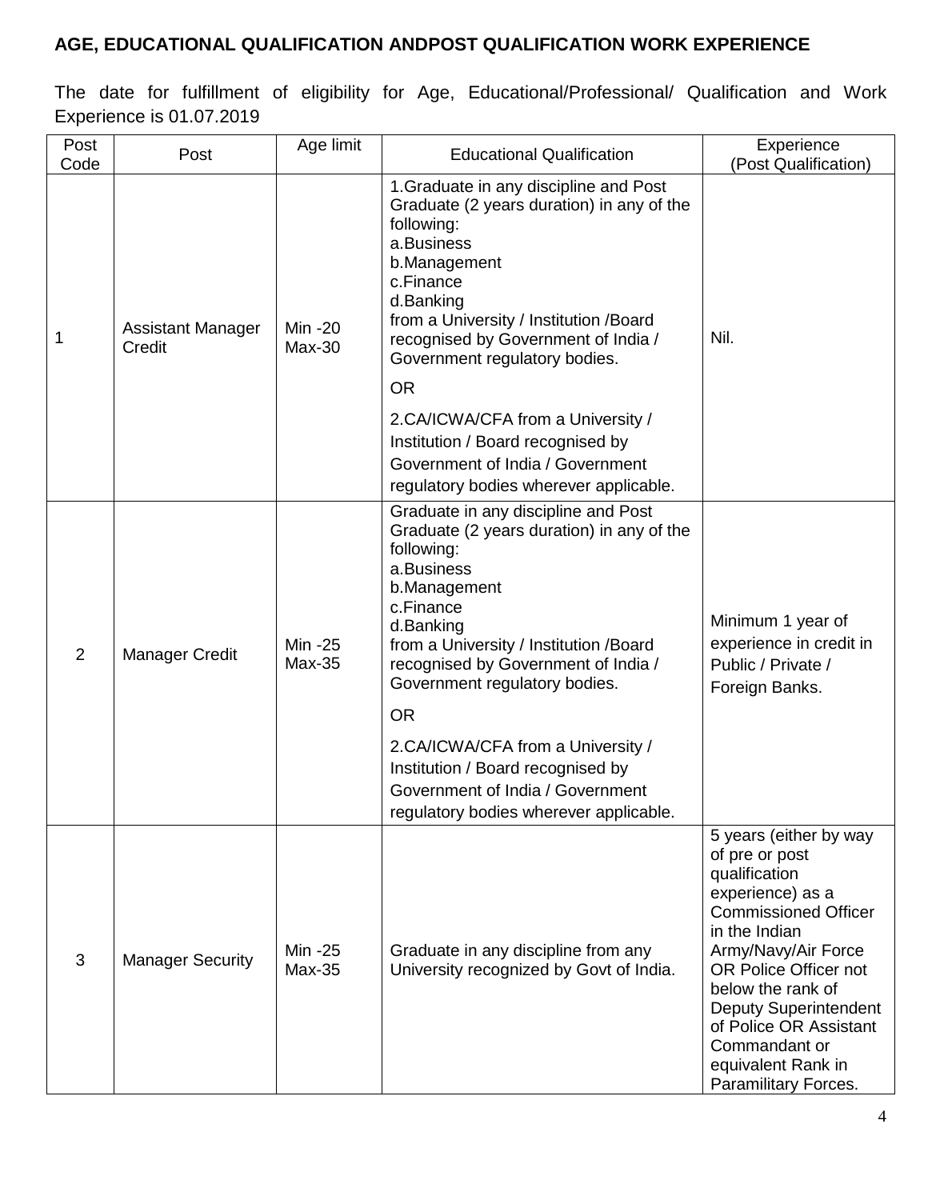# **AGE, EDUCATIONAL QUALIFICATION ANDPOST QUALIFICATION WORK EXPERIENCE**

The date for fulfillment of eligibility for Age, Educational/Professional/ Qualification and Work Experience is 01.07.2019

| Post<br>Code | Post                               | Age limit           | <b>Educational Qualification</b>                                                                                                                                                                                                                                                         | Experience<br>(Post Qualification)                                                                                                                                                                                                                                                                                          |
|--------------|------------------------------------|---------------------|------------------------------------------------------------------------------------------------------------------------------------------------------------------------------------------------------------------------------------------------------------------------------------------|-----------------------------------------------------------------------------------------------------------------------------------------------------------------------------------------------------------------------------------------------------------------------------------------------------------------------------|
| 1            | <b>Assistant Manager</b><br>Credit | Min -20<br>$Max-30$ | 1. Graduate in any discipline and Post<br>Graduate (2 years duration) in any of the<br>following:<br>a.Business<br>b.Management<br>c.Finance<br>d.Banking<br>from a University / Institution /Board<br>recognised by Government of India /<br>Government regulatory bodies.<br><b>OR</b> | Nil.                                                                                                                                                                                                                                                                                                                        |
|              |                                    |                     | 2.CA/ICWA/CFA from a University /<br>Institution / Board recognised by<br>Government of India / Government<br>regulatory bodies wherever applicable.                                                                                                                                     |                                                                                                                                                                                                                                                                                                                             |
| 2            | <b>Manager Credit</b>              | Min -25<br>Max-35   | Graduate in any discipline and Post<br>Graduate (2 years duration) in any of the<br>following:<br>a.Business<br>b.Management<br>c.Finance<br>d.Banking<br>from a University / Institution /Board<br>recognised by Government of India /<br>Government regulatory bodies.<br><b>OR</b>    | Minimum 1 year of<br>experience in credit in<br>Public / Private /<br>Foreign Banks.                                                                                                                                                                                                                                        |
|              |                                    |                     | 2.CA/ICWA/CFA from a University /<br>Institution / Board recognised by<br>Government of India / Government<br>regulatory bodies wherever applicable.                                                                                                                                     |                                                                                                                                                                                                                                                                                                                             |
| 3            | <b>Manager Security</b>            | Min -25<br>$Max-35$ | Graduate in any discipline from any<br>University recognized by Govt of India.                                                                                                                                                                                                           | 5 years (either by way<br>of pre or post<br>qualification<br>experience) as a<br><b>Commissioned Officer</b><br>in the Indian<br>Army/Navy/Air Force<br>OR Police Officer not<br>below the rank of<br><b>Deputy Superintendent</b><br>of Police OR Assistant<br>Commandant or<br>equivalent Rank in<br>Paramilitary Forces. |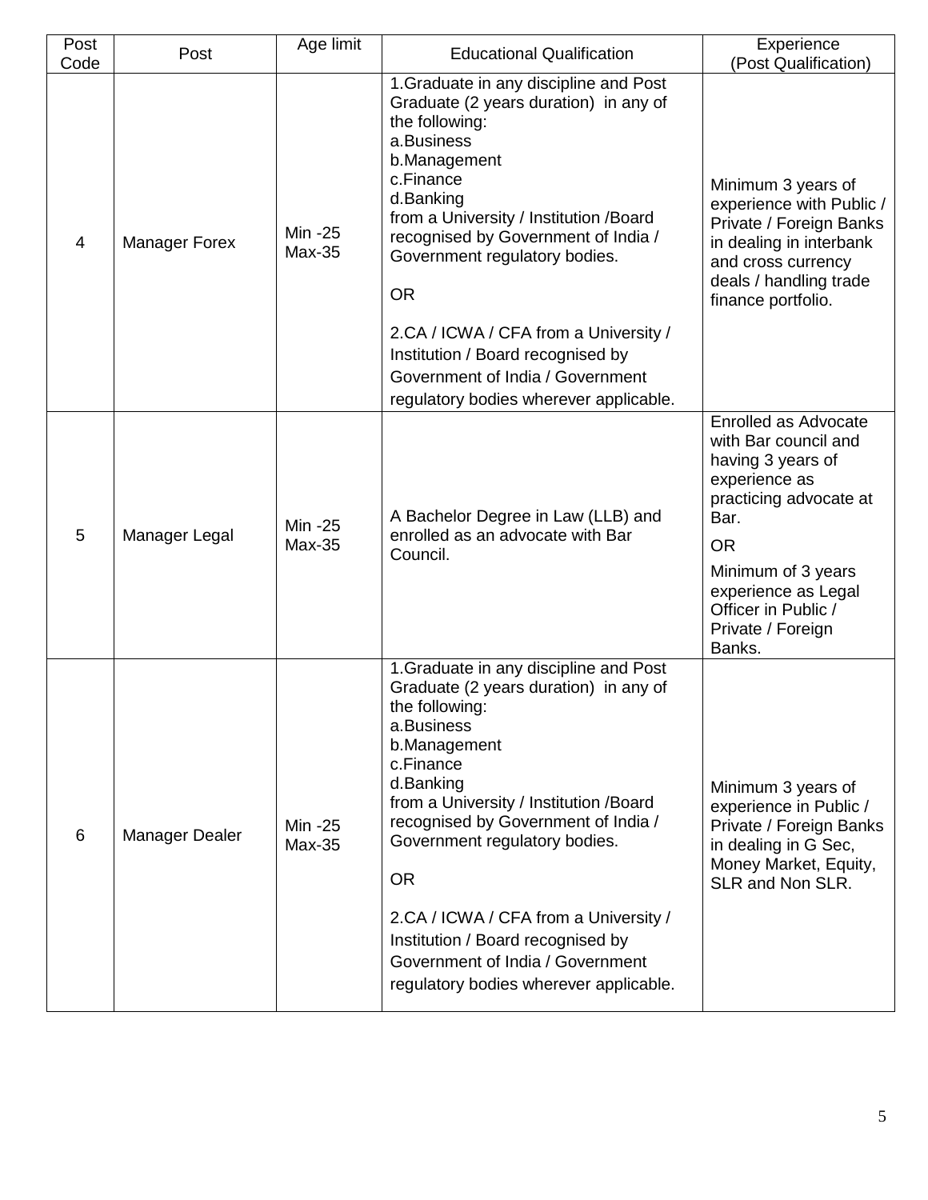| Post<br>Code   | Post                 | Age limit           | <b>Educational Qualification</b>                                                                                                                                                                                                                                                                                                                                                                                                                     | Experience<br>(Post Qualification)                                                                                                                                                                                                |
|----------------|----------------------|---------------------|------------------------------------------------------------------------------------------------------------------------------------------------------------------------------------------------------------------------------------------------------------------------------------------------------------------------------------------------------------------------------------------------------------------------------------------------------|-----------------------------------------------------------------------------------------------------------------------------------------------------------------------------------------------------------------------------------|
| $\overline{4}$ | <b>Manager Forex</b> | Min -25<br>$Max-35$ | 1. Graduate in any discipline and Post<br>Graduate (2 years duration) in any of<br>the following:<br>a.Business<br>b.Management<br>c.Finance<br>d.Banking<br>from a University / Institution /Board<br>recognised by Government of India /<br>Government regulatory bodies.<br><b>OR</b>                                                                                                                                                             | Minimum 3 years of<br>experience with Public /<br>Private / Foreign Banks<br>in dealing in interbank<br>and cross currency<br>deals / handling trade<br>finance portfolio.                                                        |
|                |                      |                     | 2.CA / ICWA / CFA from a University /<br>Institution / Board recognised by<br>Government of India / Government<br>regulatory bodies wherever applicable.                                                                                                                                                                                                                                                                                             |                                                                                                                                                                                                                                   |
| 5              | Manager Legal        | Min -25<br>$Max-35$ | A Bachelor Degree in Law (LLB) and<br>enrolled as an advocate with Bar<br>Council.                                                                                                                                                                                                                                                                                                                                                                   | <b>Enrolled as Advocate</b><br>with Bar council and<br>having 3 years of<br>experience as<br>practicing advocate at<br>Bar.<br><b>OR</b><br>Minimum of 3 years<br>experience as Legal<br>Officer in Public /<br>Private / Foreign |
| 6              | Manager Dealer       | Min -25<br>$Max-35$ | 1. Graduate in any discipline and Post<br>Graduate (2 years duration) in any of<br>the following:<br>a.Business<br>b.Management<br>c.Finance<br>d.Banking<br>from a University / Institution /Board<br>recognised by Government of India /<br>Government regulatory bodies.<br><b>OR</b><br>2.CA / ICWA / CFA from a University /<br>Institution / Board recognised by<br>Government of India / Government<br>regulatory bodies wherever applicable. | Banks.<br>Minimum 3 years of<br>experience in Public /<br>Private / Foreign Banks<br>in dealing in G Sec,<br>Money Market, Equity,<br>SLR and Non SLR.                                                                            |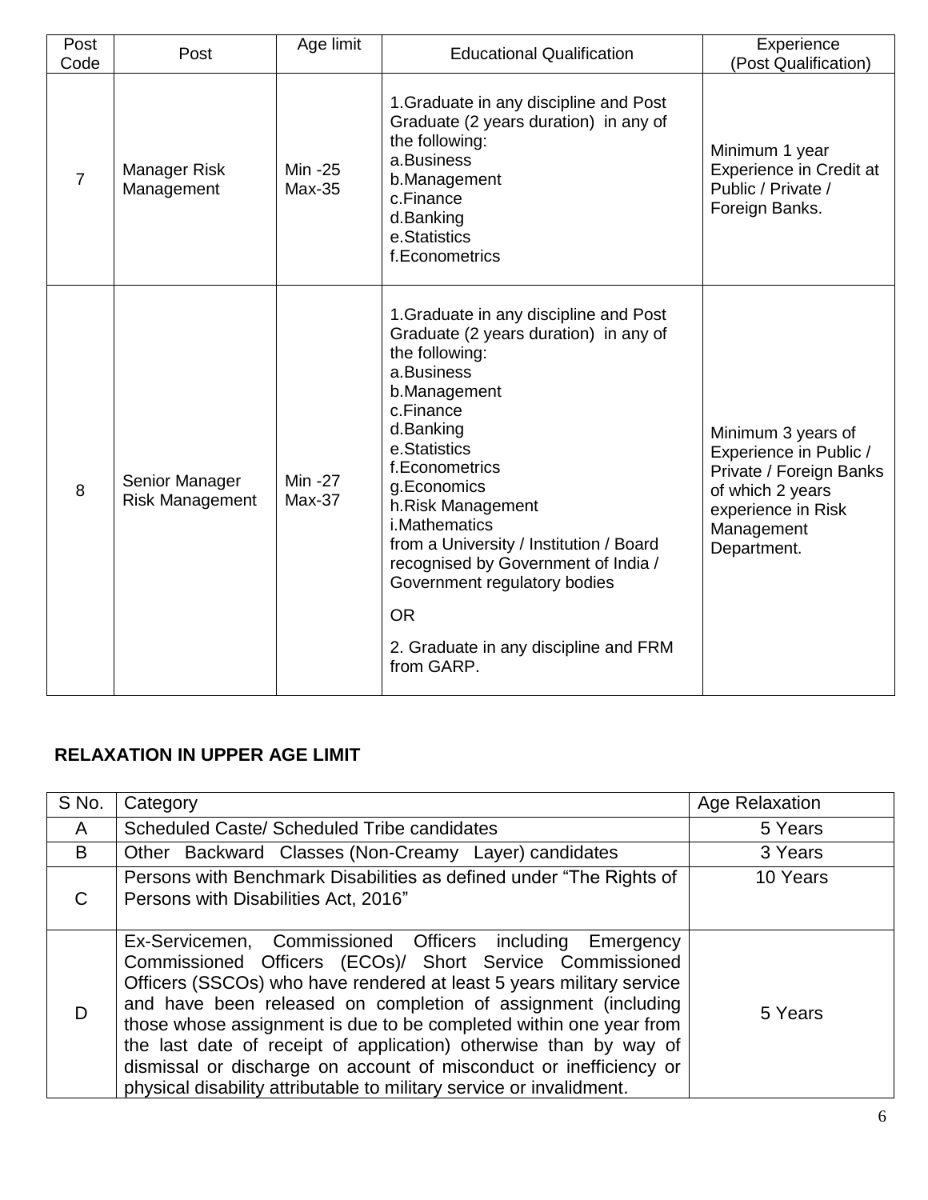| Post<br>Code   | Post                                     | Age limit           | <b>Educational Qualification</b>                                                                                                                                                                                                                                                                                                                                                                                                               | Experience<br>(Post Qualification)                                                                                                             |
|----------------|------------------------------------------|---------------------|------------------------------------------------------------------------------------------------------------------------------------------------------------------------------------------------------------------------------------------------------------------------------------------------------------------------------------------------------------------------------------------------------------------------------------------------|------------------------------------------------------------------------------------------------------------------------------------------------|
| $\overline{7}$ | <b>Manager Risk</b><br>Management        | Min -25<br>$Max-35$ | 1. Graduate in any discipline and Post<br>Graduate (2 years duration) in any of<br>the following:<br>a.Business<br>b.Management<br>c.Finance<br>d.Banking<br>e.Statistics<br>f.Econometrics                                                                                                                                                                                                                                                    | Minimum 1 year<br><b>Experience in Credit at</b><br>Public / Private /<br>Foreign Banks.                                                       |
| 8              | Senior Manager<br><b>Risk Management</b> | Min -27<br>$Max-37$ | 1. Graduate in any discipline and Post<br>Graduate (2 years duration) in any of<br>the following:<br>a.Business<br>b.Management<br>c.Finance<br>d.Banking<br>e.Statistics<br>f.Econometrics<br>g.Economics<br>h.Risk Management<br><i>i</i> .Mathematics<br>from a University / Institution / Board<br>recognised by Government of India /<br>Government regulatory bodies<br><b>OR</b><br>2. Graduate in any discipline and FRM<br>from GARP. | Minimum 3 years of<br>Experience in Public /<br>Private / Foreign Banks<br>of which 2 years<br>experience in Risk<br>Management<br>Department. |

# **RELAXATION IN UPPER AGE LIMIT**

| S No. | Category                                                                                                                                                                                                                                                                                                                                                                                                                                                                                                                                                  | <b>Age Relaxation</b> |
|-------|-----------------------------------------------------------------------------------------------------------------------------------------------------------------------------------------------------------------------------------------------------------------------------------------------------------------------------------------------------------------------------------------------------------------------------------------------------------------------------------------------------------------------------------------------------------|-----------------------|
| A     | Scheduled Caste/ Scheduled Tribe candidates                                                                                                                                                                                                                                                                                                                                                                                                                                                                                                               | 5 Years               |
| B     | Other Backward Classes (Non-Creamy Layer) candidates                                                                                                                                                                                                                                                                                                                                                                                                                                                                                                      | 3 Years               |
| C     | Persons with Benchmark Disabilities as defined under "The Rights of<br>Persons with Disabilities Act, 2016"                                                                                                                                                                                                                                                                                                                                                                                                                                               | 10 Years              |
| D     | Ex-Servicemen, Commissioned Officers including<br>Emergency<br>Commissioned Officers (ECOs)/ Short Service Commissioned<br>Officers (SSCOs) who have rendered at least 5 years military service<br>and have been released on completion of assignment (including<br>those whose assignment is due to be completed within one year from<br>the last date of receipt of application) otherwise than by way of<br>dismissal or discharge on account of misconduct or inefficiency or<br>physical disability attributable to military service or invalidment. | 5 Years               |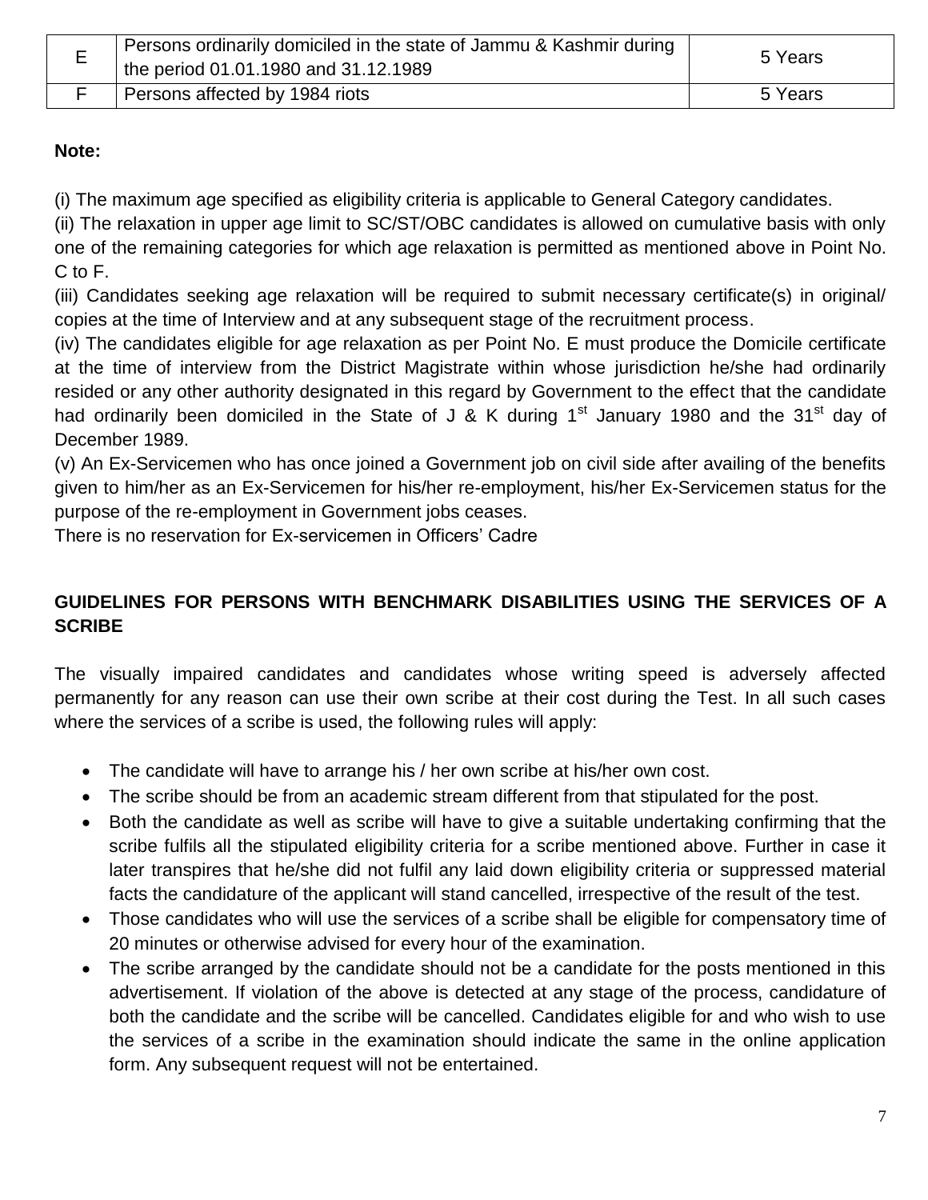| - | Persons ordinarily domiciled in the state of Jammu & Kashmir during<br>the period 01.01.1980 and 31.12.1989 | 5 Years |
|---|-------------------------------------------------------------------------------------------------------------|---------|
|   | Persons affected by 1984 riots                                                                              | 5 Years |

### **Note:**

(i) The maximum age specified as eligibility criteria is applicable to General Category candidates.

(ii) The relaxation in upper age limit to SC/ST/OBC candidates is allowed on cumulative basis with only one of the remaining categories for which age relaxation is permitted as mentioned above in Point No. C to F.

(iii) Candidates seeking age relaxation will be required to submit necessary certificate(s) in original/ copies at the time of Interview and at any subsequent stage of the recruitment process.

(iv) The candidates eligible for age relaxation as per Point No. E must produce the Domicile certificate at the time of interview from the District Magistrate within whose jurisdiction he/she had ordinarily resided or any other authority designated in this regard by Government to the effect that the candidate had ordinarily been domiciled in the State of J & K during  $1<sup>st</sup>$  January 1980 and the 31<sup>st</sup> day of December 1989.

(v) An Ex-Servicemen who has once joined a Government job on civil side after availing of the benefits given to him/her as an Ex-Servicemen for his/her re-employment, his/her Ex-Servicemen status for the purpose of the re-employment in Government jobs ceases.

There is no reservation for Ex-servicemen in Officers" Cadre

# **GUIDELINES FOR PERSONS WITH BENCHMARK DISABILITIES USING THE SERVICES OF A SCRIBE**

The visually impaired candidates and candidates whose writing speed is adversely affected permanently for any reason can use their own scribe at their cost during the Test. In all such cases where the services of a scribe is used, the following rules will apply:

- The candidate will have to arrange his / her own scribe at his/her own cost.
- The scribe should be from an academic stream different from that stipulated for the post.
- Both the candidate as well as scribe will have to give a suitable undertaking confirming that the scribe fulfils all the stipulated eligibility criteria for a scribe mentioned above. Further in case it later transpires that he/she did not fulfil any laid down eligibility criteria or suppressed material facts the candidature of the applicant will stand cancelled, irrespective of the result of the test.
- Those candidates who will use the services of a scribe shall be eligible for compensatory time of 20 minutes or otherwise advised for every hour of the examination.
- The scribe arranged by the candidate should not be a candidate for the posts mentioned in this advertisement. If violation of the above is detected at any stage of the process, candidature of both the candidate and the scribe will be cancelled. Candidates eligible for and who wish to use the services of a scribe in the examination should indicate the same in the online application form. Any subsequent request will not be entertained.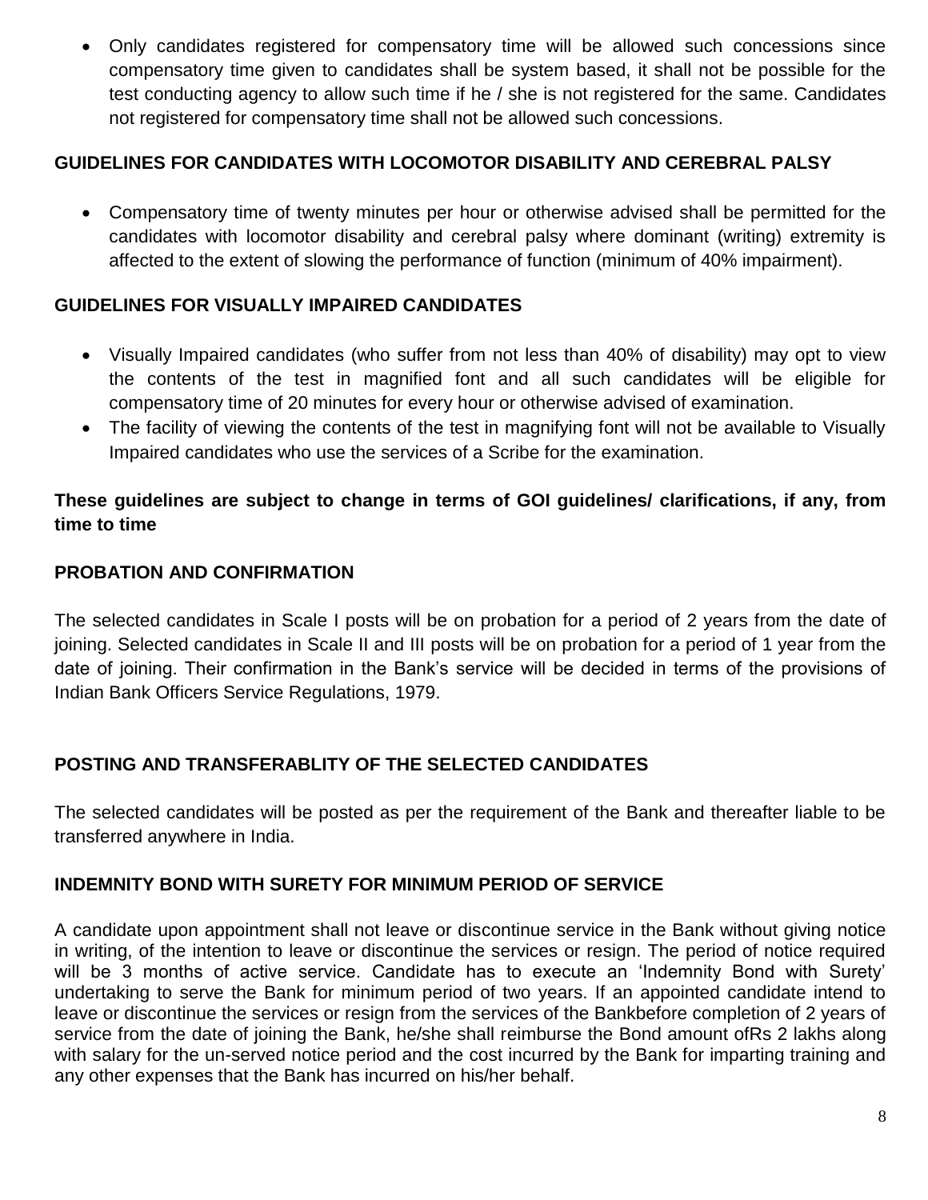Only candidates registered for compensatory time will be allowed such concessions since compensatory time given to candidates shall be system based, it shall not be possible for the test conducting agency to allow such time if he / she is not registered for the same. Candidates not registered for compensatory time shall not be allowed such concessions.

### **GUIDELINES FOR CANDIDATES WITH LOCOMOTOR DISABILITY AND CEREBRAL PALSY**

 Compensatory time of twenty minutes per hour or otherwise advised shall be permitted for the candidates with locomotor disability and cerebral palsy where dominant (writing) extremity is affected to the extent of slowing the performance of function (minimum of 40% impairment).

# **GUIDELINES FOR VISUALLY IMPAIRED CANDIDATES**

- Visually Impaired candidates (who suffer from not less than 40% of disability) may opt to view the contents of the test in magnified font and all such candidates will be eligible for compensatory time of 20 minutes for every hour or otherwise advised of examination.
- The facility of viewing the contents of the test in magnifying font will not be available to Visually Impaired candidates who use the services of a Scribe for the examination.

# **These guidelines are subject to change in terms of GOI guidelines/ clarifications, if any, from time to time**

### **PROBATION AND CONFIRMATION**

The selected candidates in Scale I posts will be on probation for a period of 2 years from the date of joining. Selected candidates in Scale II and III posts will be on probation for a period of 1 year from the date of joining. Their confirmation in the Bank"s service will be decided in terms of the provisions of Indian Bank Officers Service Regulations, 1979.

# **POSTING AND TRANSFERABLITY OF THE SELECTED CANDIDATES**

The selected candidates will be posted as per the requirement of the Bank and thereafter liable to be transferred anywhere in India.

### **INDEMNITY BOND WITH SURETY FOR MINIMUM PERIOD OF SERVICE**

A candidate upon appointment shall not leave or discontinue service in the Bank without giving notice in writing, of the intention to leave or discontinue the services or resign. The period of notice required will be 3 months of active service. Candidate has to execute an 'Indemnity Bond with Surety' undertaking to serve the Bank for minimum period of two years. If an appointed candidate intend to leave or discontinue the services or resign from the services of the Bankbefore completion of 2 years of service from the date of joining the Bank, he/she shall reimburse the Bond amount ofRs 2 lakhs along with salary for the un-served notice period and the cost incurred by the Bank for imparting training and any other expenses that the Bank has incurred on his/her behalf.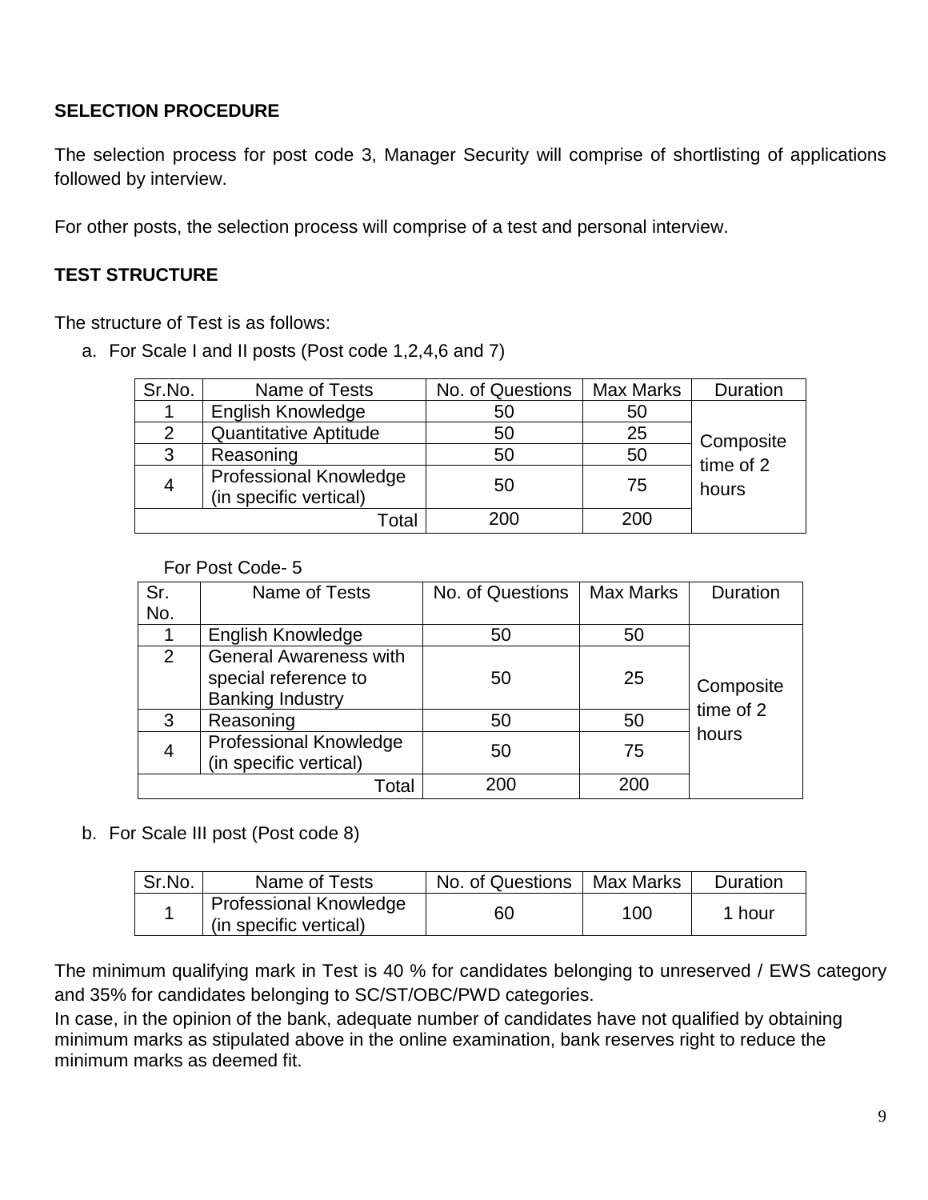# **SELECTION PROCEDURE**

The selection process for post code 3, Manager Security will comprise of shortlisting of applications followed by interview.

For other posts, the selection process will comprise of a test and personal interview.

## **TEST STRUCTURE**

The structure of Test is as follows:

a. For Scale I and II posts (Post code 1,2,4,6 and 7)

| Sr.No.        | Name of Tests                                           | No. of Questions | Max Marks | Duration  |
|---------------|---------------------------------------------------------|------------------|-----------|-----------|
|               | <b>English Knowledge</b>                                | 50               | 50        |           |
| $\mathcal{P}$ | <b>Quantitative Aptitude</b>                            | 50               | 25        | Composite |
| 3             | Reasoning                                               | 50               | 50        | time of 2 |
| 4             | <b>Professional Knowledge</b><br>(in specific vertical) | 50               | 75        | hours     |
|               | Total                                                   | 200              | 200       |           |

#### For Post Code- 5

| Sr. | Name of Tests                                                                    | No. of Questions | <b>Max Marks</b> | Duration  |
|-----|----------------------------------------------------------------------------------|------------------|------------------|-----------|
| No. |                                                                                  |                  |                  |           |
|     | <b>English Knowledge</b>                                                         | 50               | 50               |           |
| 2   | <b>General Awareness with</b><br>special reference to<br><b>Banking Industry</b> | 50               | 25               | Composite |
| 3   | Reasoning                                                                        | 50               | 50               | time of 2 |
| 4   | <b>Professional Knowledge</b><br>(in specific vertical)                          | 50               | 75               | hours     |
|     | Total                                                                            | 200              | 200              |           |

### b. For Scale III post (Post code 8)

| Sr.No. | Name of Tests                                           | No. of Questions | Max Marks | Duration |
|--------|---------------------------------------------------------|------------------|-----------|----------|
|        | <b>Professional Knowledge</b><br>(in specific vertical) | 60               | 100       | 1 hour   |

The minimum qualifying mark in Test is 40 % for candidates belonging to unreserved / EWS category and 35% for candidates belonging to SC/ST/OBC/PWD categories.

In case, in the opinion of the bank, adequate number of candidates have not qualified by obtaining minimum marks as stipulated above in the online examination, bank reserves right to reduce the minimum marks as deemed fit.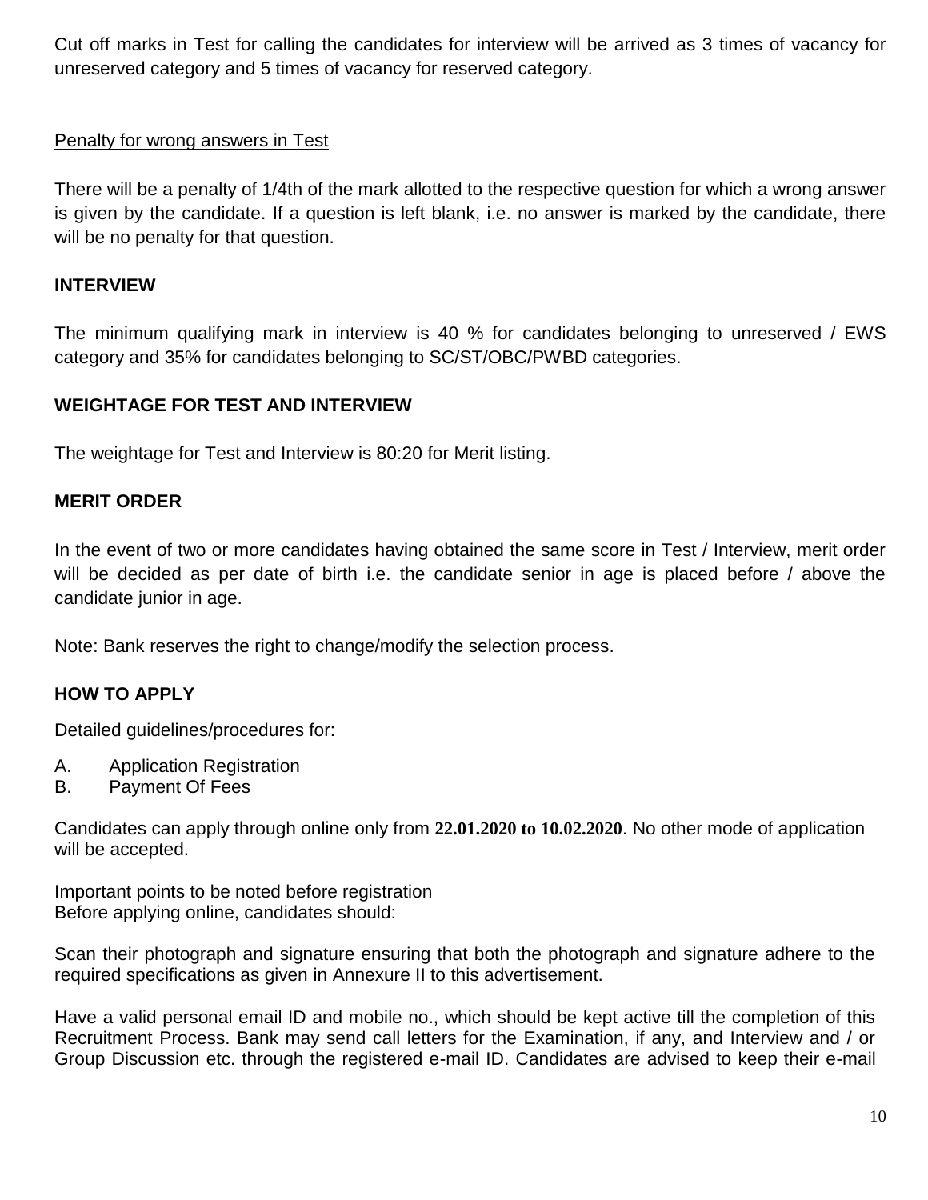Cut off marks in Test for calling the candidates for interview will be arrived as 3 times of vacancy for unreserved category and 5 times of vacancy for reserved category.

### Penalty for wrong answers in Test

There will be a penalty of 1/4th of the mark allotted to the respective question for which a wrong answer is given by the candidate. If a question is left blank, i.e. no answer is marked by the candidate, there will be no penalty for that question.

### **INTERVIEW**

The minimum qualifying mark in interview is 40 % for candidates belonging to unreserved / EWS category and 35% for candidates belonging to SC/ST/OBC/PWBD categories.

### **WEIGHTAGE FOR TEST AND INTERVIEW**

The weightage for Test and Interview is 80:20 for Merit listing.

#### **MERIT ORDER**

In the event of two or more candidates having obtained the same score in Test / Interview, merit order will be decided as per date of birth i.e. the candidate senior in age is placed before / above the candidate junior in age.

Note: Bank reserves the right to change/modify the selection process.

### **HOW TO APPLY**

Detailed guidelines/procedures for:

- A. Application Registration
- B. Payment Of Fees

Candidates can apply through online only from **22.01.2020 to 10.02.2020**. No other mode of application will be accepted.

Important points to be noted before registration Before applying online, candidates should:

Scan their photograph and signature ensuring that both the photograph and signature adhere to the required specifications as given in Annexure II to this advertisement.

Have a valid personal email ID and mobile no., which should be kept active till the completion of this Recruitment Process. Bank may send call letters for the Examination, if any, and Interview and / or Group Discussion etc. through the registered e-mail ID. Candidates are advised to keep their e-mail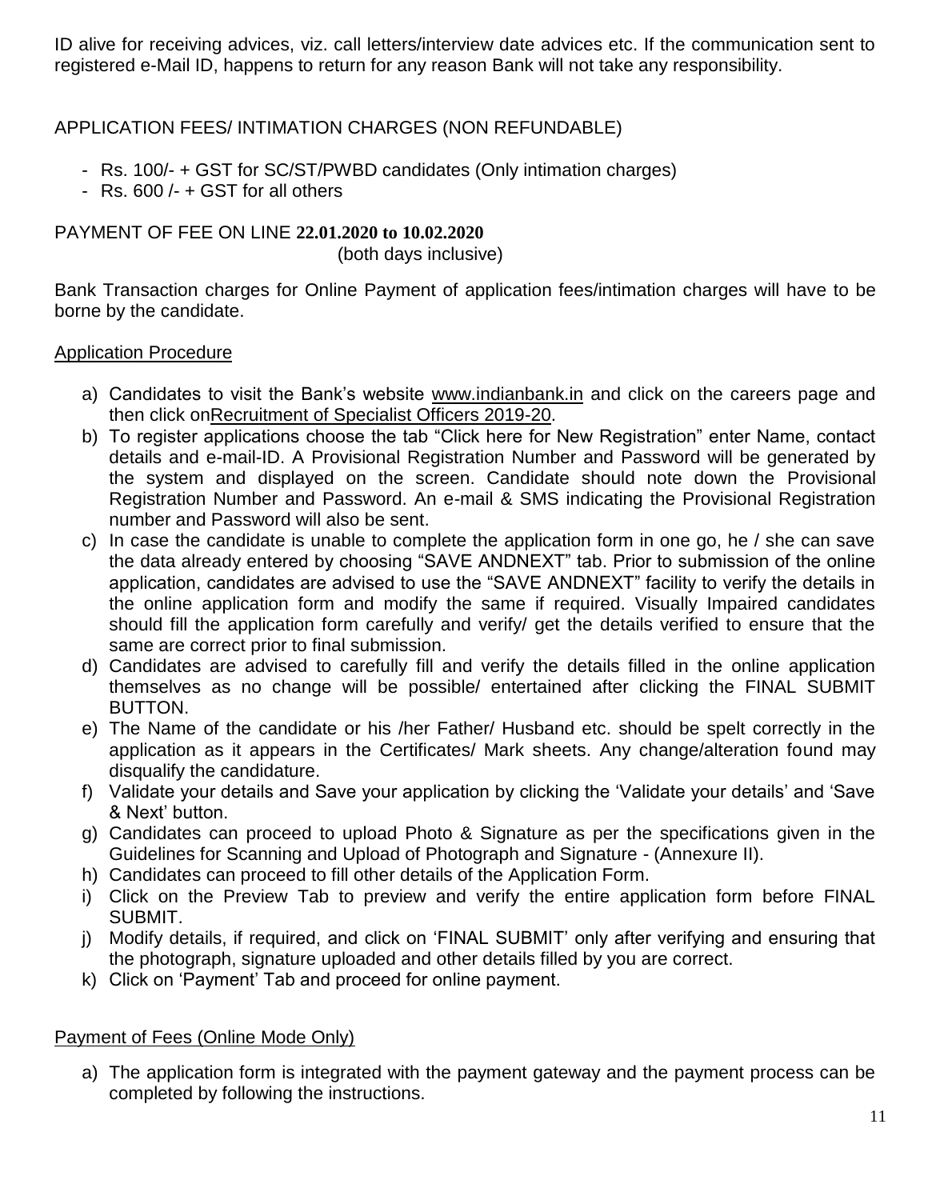ID alive for receiving advices, viz. call letters/interview date advices etc. If the communication sent to registered e-Mail ID, happens to return for any reason Bank will not take any responsibility.

### APPLICATION FEES/ INTIMATION CHARGES (NON REFUNDABLE)

- Rs. 100/- + GST for SC/ST/PWBD candidates (Only intimation charges)
- $Rs. 600/- + GST$  for all others

# PAYMENT OF FEE ON LINE **22.01.2020 to 10.02.2020**

(both days inclusive)

Bank Transaction charges for Online Payment of application fees/intimation charges will have to be borne by the candidate.

### Application Procedure

- a) Candidates to visit the Bank's website www.indianbank.in and click on the careers page and then click onRecruitment of Specialist Officers 2019-20.
- b) To register applications choose the tab "Click here for New Registration" enter Name, contact details and e-mail-ID. A Provisional Registration Number and Password will be generated by the system and displayed on the screen. Candidate should note down the Provisional Registration Number and Password. An e-mail & SMS indicating the Provisional Registration number and Password will also be sent.
- c) In case the candidate is unable to complete the application form in one go, he / she can save the data already entered by choosing "SAVE ANDNEXT" tab. Prior to submission of the online application, candidates are advised to use the "SAVE ANDNEXT" facility to verify the details in the online application form and modify the same if required. Visually Impaired candidates should fill the application form carefully and verify/ get the details verified to ensure that the same are correct prior to final submission.
- d) Candidates are advised to carefully fill and verify the details filled in the online application themselves as no change will be possible/ entertained after clicking the FINAL SUBMIT BUTTON.
- e) The Name of the candidate or his /her Father/ Husband etc. should be spelt correctly in the application as it appears in the Certificates/ Mark sheets. Any change/alteration found may disqualify the candidature.
- f) Validate your details and Save your application by clicking the "Validate your details" and "Save & Next" button.
- g) Candidates can proceed to upload Photo & Signature as per the specifications given in the Guidelines for Scanning and Upload of Photograph and Signature - (Annexure II).
- h) Candidates can proceed to fill other details of the Application Form.
- i) Click on the Preview Tab to preview and verify the entire application form before FINAL SUBMIT.
- j) Modify details, if required, and click on "FINAL SUBMIT" only after verifying and ensuring that the photograph, signature uploaded and other details filled by you are correct.
- k) Click on "Payment" Tab and proceed for online payment.

### Payment of Fees (Online Mode Only)

a) The application form is integrated with the payment gateway and the payment process can be completed by following the instructions.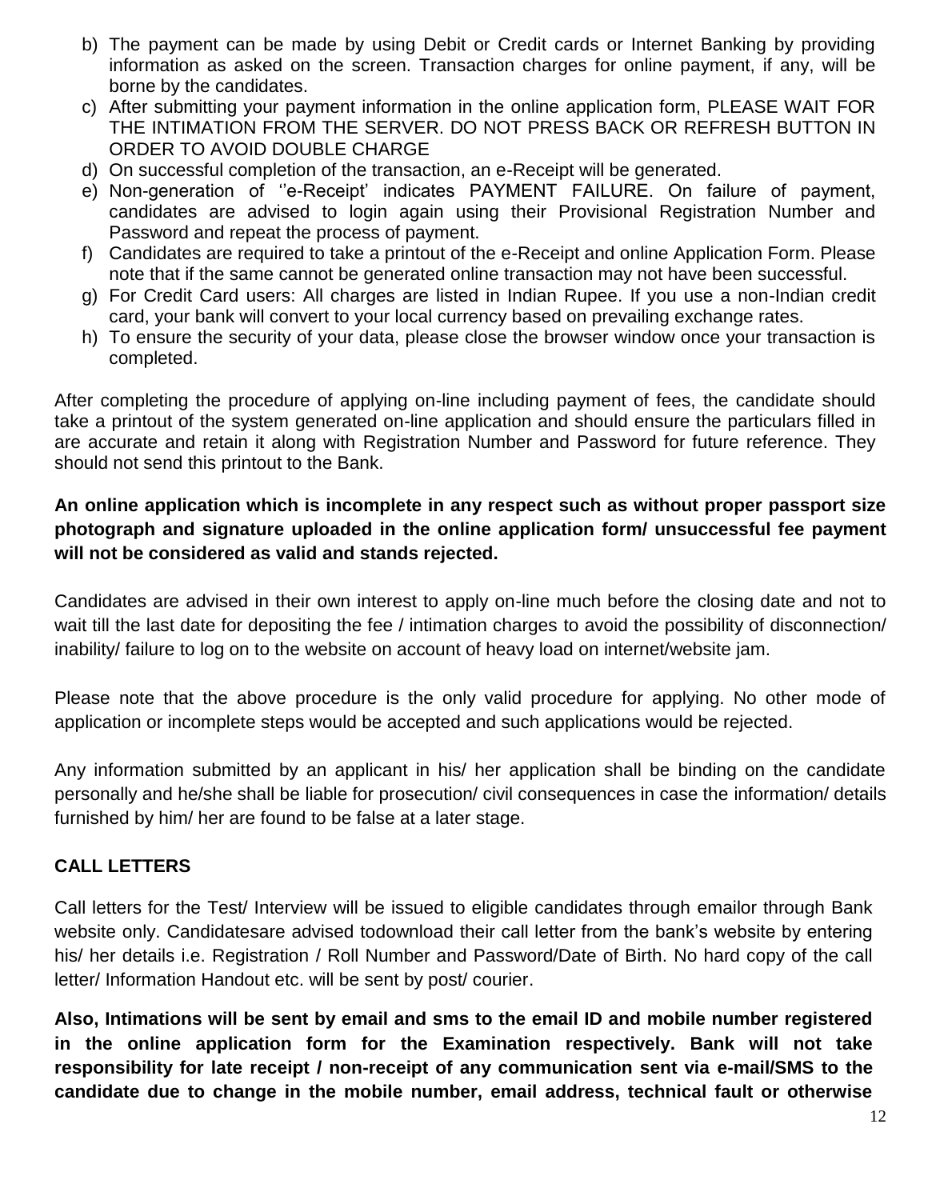- b) The payment can be made by using Debit or Credit cards or Internet Banking by providing information as asked on the screen. Transaction charges for online payment, if any, will be borne by the candidates.
- c) After submitting your payment information in the online application form, PLEASE WAIT FOR THE INTIMATION FROM THE SERVER. DO NOT PRESS BACK OR REFRESH BUTTON IN ORDER TO AVOID DOUBLE CHARGE
- d) On successful completion of the transaction, an e-Receipt will be generated.
- e) Non-generation of "e-Receipt" indicates PAYMENT FAILURE. On failure of payment, candidates are advised to login again using their Provisional Registration Number and Password and repeat the process of payment.
- f) Candidates are required to take a printout of the e-Receipt and online Application Form. Please note that if the same cannot be generated online transaction may not have been successful.
- g) For Credit Card users: All charges are listed in Indian Rupee. If you use a non-Indian credit card, your bank will convert to your local currency based on prevailing exchange rates.
- h) To ensure the security of your data, please close the browser window once your transaction is completed.

After completing the procedure of applying on-line including payment of fees, the candidate should take a printout of the system generated on-line application and should ensure the particulars filled in are accurate and retain it along with Registration Number and Password for future reference. They should not send this printout to the Bank.

**An online application which is incomplete in any respect such as without proper passport size photograph and signature uploaded in the online application form/ unsuccessful fee payment will not be considered as valid and stands rejected.**

Candidates are advised in their own interest to apply on-line much before the closing date and not to wait till the last date for depositing the fee / intimation charges to avoid the possibility of disconnection/ inability/ failure to log on to the website on account of heavy load on internet/website jam.

Please note that the above procedure is the only valid procedure for applying. No other mode of application or incomplete steps would be accepted and such applications would be rejected.

Any information submitted by an applicant in his/ her application shall be binding on the candidate personally and he/she shall be liable for prosecution/ civil consequences in case the information/ details furnished by him/ her are found to be false at a later stage.

### **CALL LETTERS**

Call letters for the Test/ Interview will be issued to eligible candidates through emailor through Bank website only. Candidatesare advised todownload their call letter from the bank's website by entering his/ her details i.e. Registration / Roll Number and Password/Date of Birth. No hard copy of the call letter/ Information Handout etc. will be sent by post/ courier.

**Also, Intimations will be sent by email and sms to the email ID and mobile number registered in the online application form for the Examination respectively. Bank will not take responsibility for late receipt / non-receipt of any communication sent via e-mail/SMS to the candidate due to change in the mobile number, email address, technical fault or otherwise**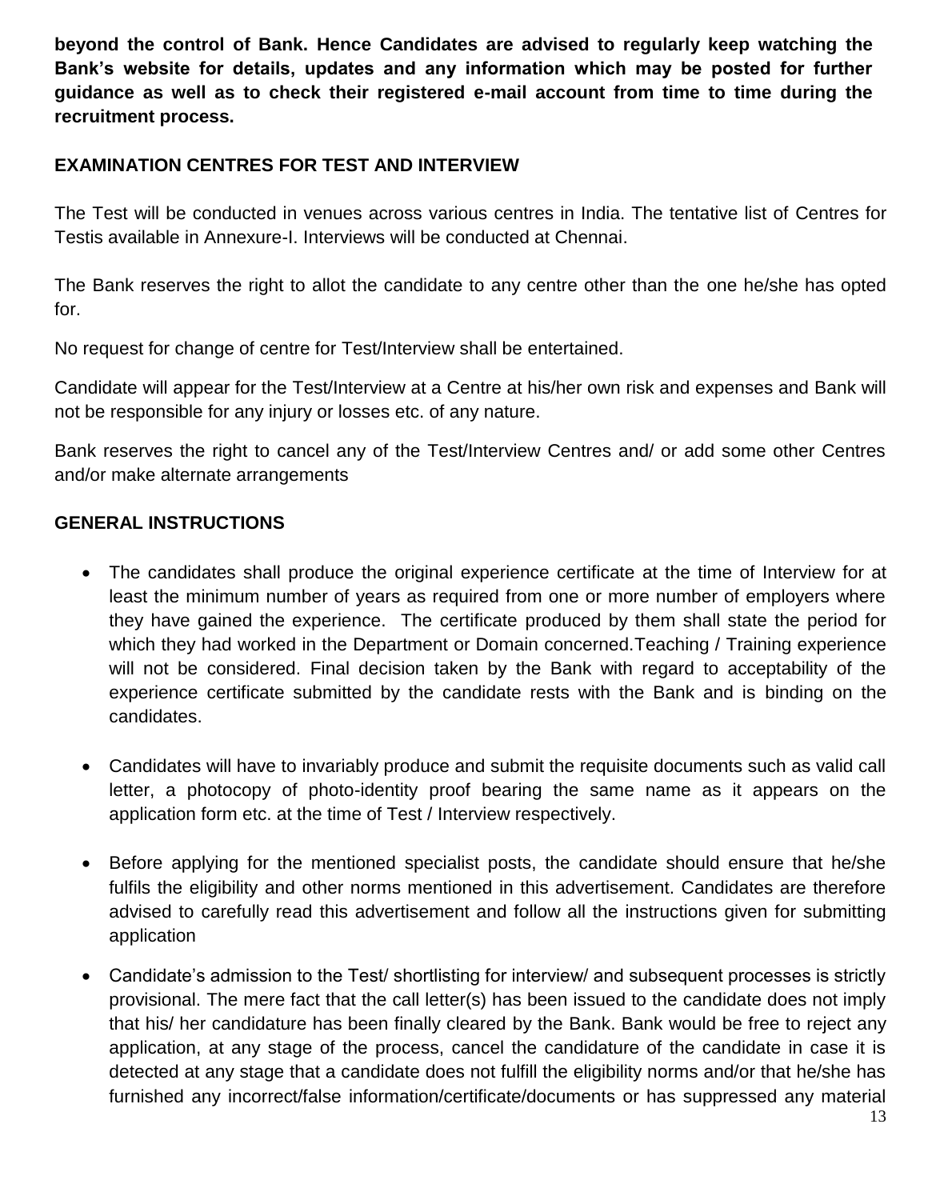**beyond the control of Bank. Hence Candidates are advised to regularly keep watching the Bank's website for details, updates and any information which may be posted for further guidance as well as to check their registered e-mail account from time to time during the recruitment process.**

# **EXAMINATION CENTRES FOR TEST AND INTERVIEW**

The Test will be conducted in venues across various centres in India. The tentative list of Centres for Testis available in Annexure-I. Interviews will be conducted at Chennai.

The Bank reserves the right to allot the candidate to any centre other than the one he/she has opted for.

No request for change of centre for Test/Interview shall be entertained.

Candidate will appear for the Test/Interview at a Centre at his/her own risk and expenses and Bank will not be responsible for any injury or losses etc. of any nature.

Bank reserves the right to cancel any of the Test/Interview Centres and/ or add some other Centres and/or make alternate arrangements

# **GENERAL INSTRUCTIONS**

- The candidates shall produce the original experience certificate at the time of Interview for at least the minimum number of years as required from one or more number of employers where they have gained the experience. The certificate produced by them shall state the period for which they had worked in the Department or Domain concerned. Teaching / Training experience will not be considered. Final decision taken by the Bank with regard to acceptability of the experience certificate submitted by the candidate rests with the Bank and is binding on the candidates.
- Candidates will have to invariably produce and submit the requisite documents such as valid call letter, a photocopy of photo-identity proof bearing the same name as it appears on the application form etc. at the time of Test / Interview respectively.
- Before applying for the mentioned specialist posts, the candidate should ensure that he/she fulfils the eligibility and other norms mentioned in this advertisement. Candidates are therefore advised to carefully read this advertisement and follow all the instructions given for submitting application
- Candidate's admission to the Test/ shortlisting for interview/ and subsequent processes is strictly provisional. The mere fact that the call letter(s) has been issued to the candidate does not imply that his/ her candidature has been finally cleared by the Bank. Bank would be free to reject any application, at any stage of the process, cancel the candidature of the candidate in case it is detected at any stage that a candidate does not fulfill the eligibility norms and/or that he/she has furnished any incorrect/false information/certificate/documents or has suppressed any material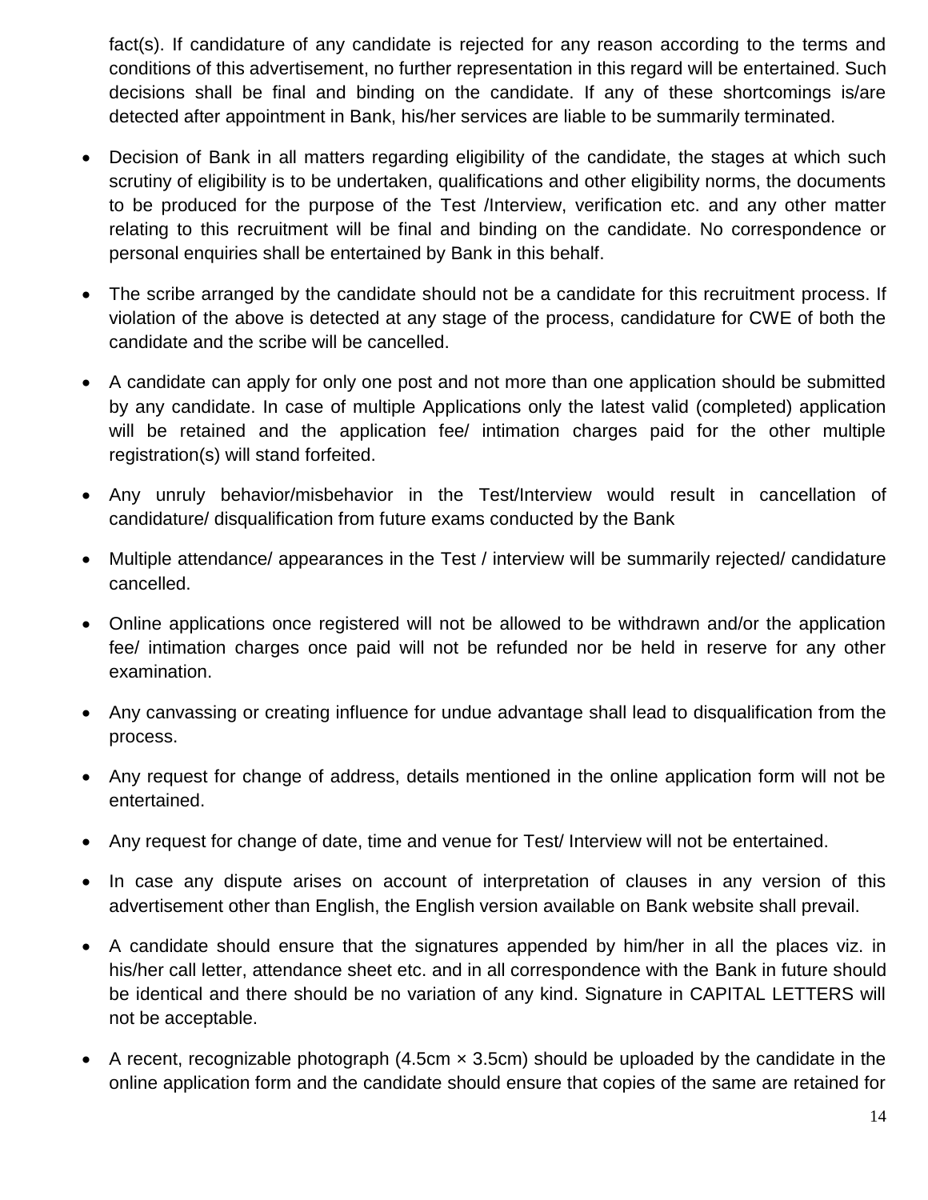fact(s). If candidature of any candidate is rejected for any reason according to the terms and conditions of this advertisement, no further representation in this regard will be entertained. Such decisions shall be final and binding on the candidate. If any of these shortcomings is/are detected after appointment in Bank, his/her services are liable to be summarily terminated.

- Decision of Bank in all matters regarding eligibility of the candidate, the stages at which such scrutiny of eligibility is to be undertaken, qualifications and other eligibility norms, the documents to be produced for the purpose of the Test /Interview, verification etc. and any other matter relating to this recruitment will be final and binding on the candidate. No correspondence or personal enquiries shall be entertained by Bank in this behalf.
- The scribe arranged by the candidate should not be a candidate for this recruitment process. If violation of the above is detected at any stage of the process, candidature for CWE of both the candidate and the scribe will be cancelled.
- A candidate can apply for only one post and not more than one application should be submitted by any candidate. In case of multiple Applications only the latest valid (completed) application will be retained and the application fee/ intimation charges paid for the other multiple registration(s) will stand forfeited.
- Any unruly behavior/misbehavior in the Test/Interview would result in cancellation of candidature/ disqualification from future exams conducted by the Bank
- Multiple attendance/ appearances in the Test / interview will be summarily rejected/ candidature cancelled.
- Online applications once registered will not be allowed to be withdrawn and/or the application fee/ intimation charges once paid will not be refunded nor be held in reserve for any other examination.
- Any canvassing or creating influence for undue advantage shall lead to disqualification from the process.
- Any request for change of address, details mentioned in the online application form will not be entertained.
- Any request for change of date, time and venue for Test/ Interview will not be entertained.
- In case any dispute arises on account of interpretation of clauses in any version of this advertisement other than English, the English version available on Bank website shall prevail.
- A candidate should ensure that the signatures appended by him/her in all the places viz. in his/her call letter, attendance sheet etc. and in all correspondence with the Bank in future should be identical and there should be no variation of any kind. Signature in CAPITAL LETTERS will not be acceptable.
- A recent, recognizable photograph (4.5cm  $\times$  3.5cm) should be uploaded by the candidate in the online application form and the candidate should ensure that copies of the same are retained for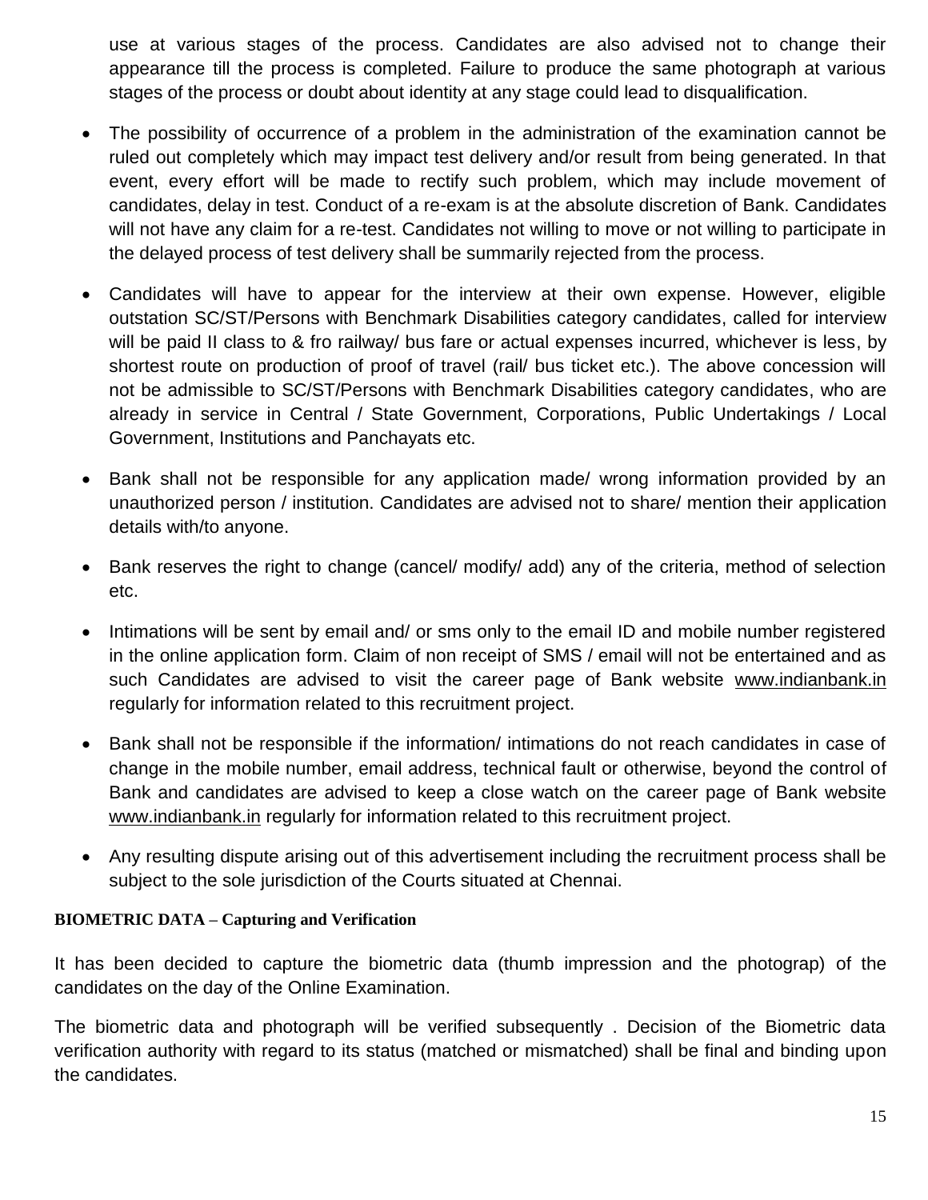use at various stages of the process. Candidates are also advised not to change their appearance till the process is completed. Failure to produce the same photograph at various stages of the process or doubt about identity at any stage could lead to disqualification.

- The possibility of occurrence of a problem in the administration of the examination cannot be ruled out completely which may impact test delivery and/or result from being generated. In that event, every effort will be made to rectify such problem, which may include movement of candidates, delay in test. Conduct of a re-exam is at the absolute discretion of Bank. Candidates will not have any claim for a re-test. Candidates not willing to move or not willing to participate in the delayed process of test delivery shall be summarily rejected from the process.
- Candidates will have to appear for the interview at their own expense. However, eligible outstation SC/ST/Persons with Benchmark Disabilities category candidates, called for interview will be paid II class to & fro railway/ bus fare or actual expenses incurred, whichever is less, by shortest route on production of proof of travel (rail/ bus ticket etc.). The above concession will not be admissible to SC/ST/Persons with Benchmark Disabilities category candidates, who are already in service in Central / State Government, Corporations, Public Undertakings / Local Government, Institutions and Panchayats etc.
- Bank shall not be responsible for any application made/ wrong information provided by an unauthorized person / institution. Candidates are advised not to share/ mention their application details with/to anyone.
- Bank reserves the right to change (cancel/ modify/ add) any of the criteria, method of selection etc.
- Intimations will be sent by email and/ or sms only to the email ID and mobile number registered in the online application form. Claim of non receipt of SMS / email will not be entertained and as such Candidates are advised to visit the career page of Bank website [www.indianbank.in](http://www.indianbank.in/) regularly for information related to this recruitment project.
- Bank shall not be responsible if the information/ intimations do not reach candidates in case of change in the mobile number, email address, technical fault or otherwise, beyond the control of Bank and candidates are advised to keep a close watch on the career page of Bank website [www.indianbank.in](http://www.indianbank.in/) regularly for information related to this recruitment project.
- Any resulting dispute arising out of this advertisement including the recruitment process shall be subject to the sole jurisdiction of the Courts situated at Chennai.

#### **BIOMETRIC DATA – Capturing and Verification**

It has been decided to capture the biometric data (thumb impression and the photograp) of the candidates on the day of the Online Examination.

The biometric data and photograph will be verified subsequently . Decision of the Biometric data verification authority with regard to its status (matched or mismatched) shall be final and binding upon the candidates.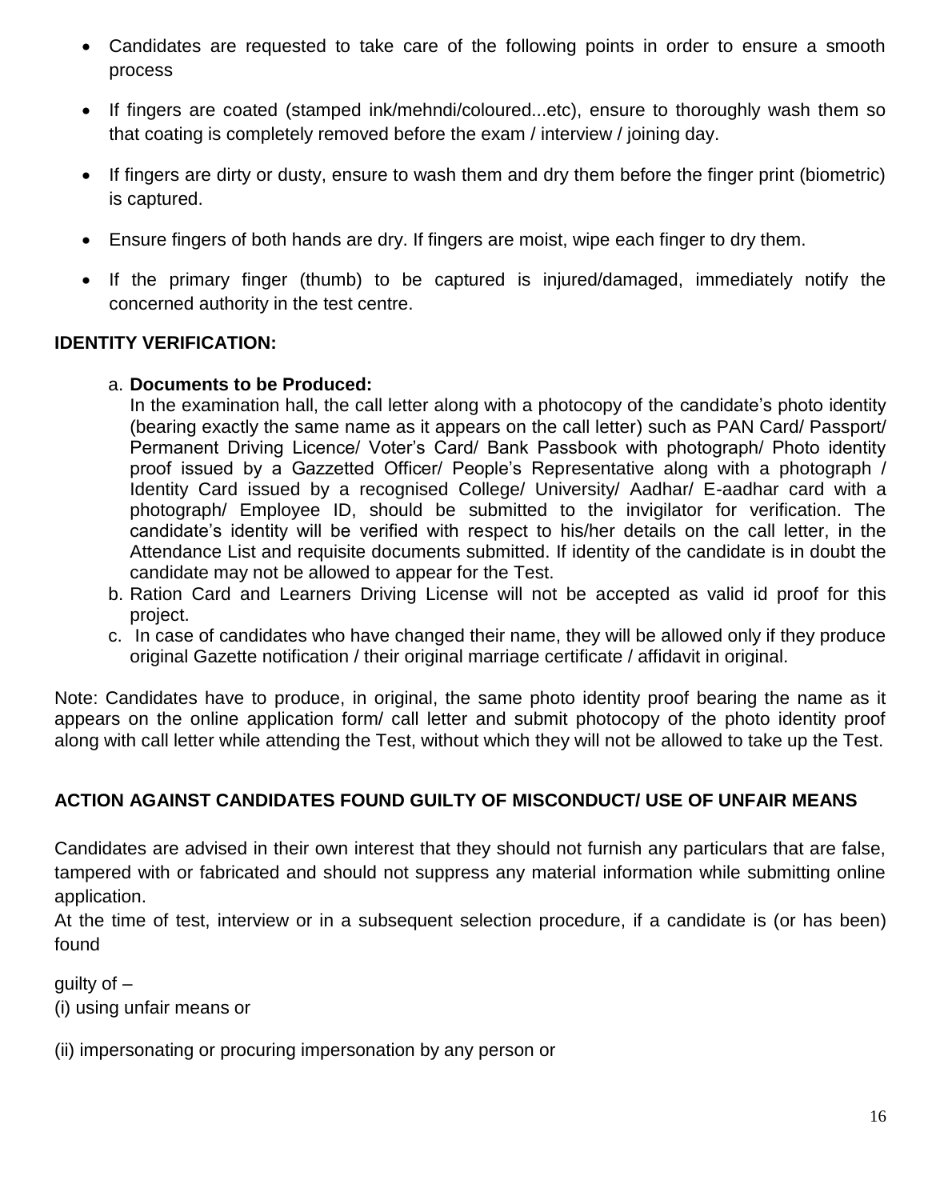- Candidates are requested to take care of the following points in order to ensure a smooth process
- If fingers are coated (stamped ink/mehndi/coloured...etc), ensure to thoroughly wash them so that coating is completely removed before the exam / interview / joining day.
- If fingers are dirty or dusty, ensure to wash them and dry them before the finger print (biometric) is captured.
- Ensure fingers of both hands are dry. If fingers are moist, wipe each finger to dry them.
- If the primary finger (thumb) to be captured is injured/damaged, immediately notify the concerned authority in the test centre.

### **IDENTITY VERIFICATION:**

### a. **Documents to be Produced:**

In the examination hall, the call letter along with a photocopy of the candidate's photo identity (bearing exactly the same name as it appears on the call letter) such as PAN Card/ Passport/ Permanent Driving Licence/ Voter's Card/ Bank Passbook with photograph/ Photo identity proof issued by a Gazzetted Officer/ People"s Representative along with a photograph / Identity Card issued by a recognised College/ University/ Aadhar/ E-aadhar card with a photograph/ Employee ID, should be submitted to the invigilator for verification. The candidate"s identity will be verified with respect to his/her details on the call letter, in the Attendance List and requisite documents submitted. If identity of the candidate is in doubt the candidate may not be allowed to appear for the Test.

- b. Ration Card and Learners Driving License will not be accepted as valid id proof for this project.
- c. In case of candidates who have changed their name, they will be allowed only if they produce original Gazette notification / their original marriage certificate / affidavit in original.

Note: Candidates have to produce, in original, the same photo identity proof bearing the name as it appears on the online application form/ call letter and submit photocopy of the photo identity proof along with call letter while attending the Test, without which they will not be allowed to take up the Test.

### **ACTION AGAINST CANDIDATES FOUND GUILTY OF MISCONDUCT/ USE OF UNFAIR MEANS**

Candidates are advised in their own interest that they should not furnish any particulars that are false, tampered with or fabricated and should not suppress any material information while submitting online application.

At the time of test, interview or in a subsequent selection procedure, if a candidate is (or has been) found

quilty of  $-$ (i) using unfair means or

(ii) impersonating or procuring impersonation by any person or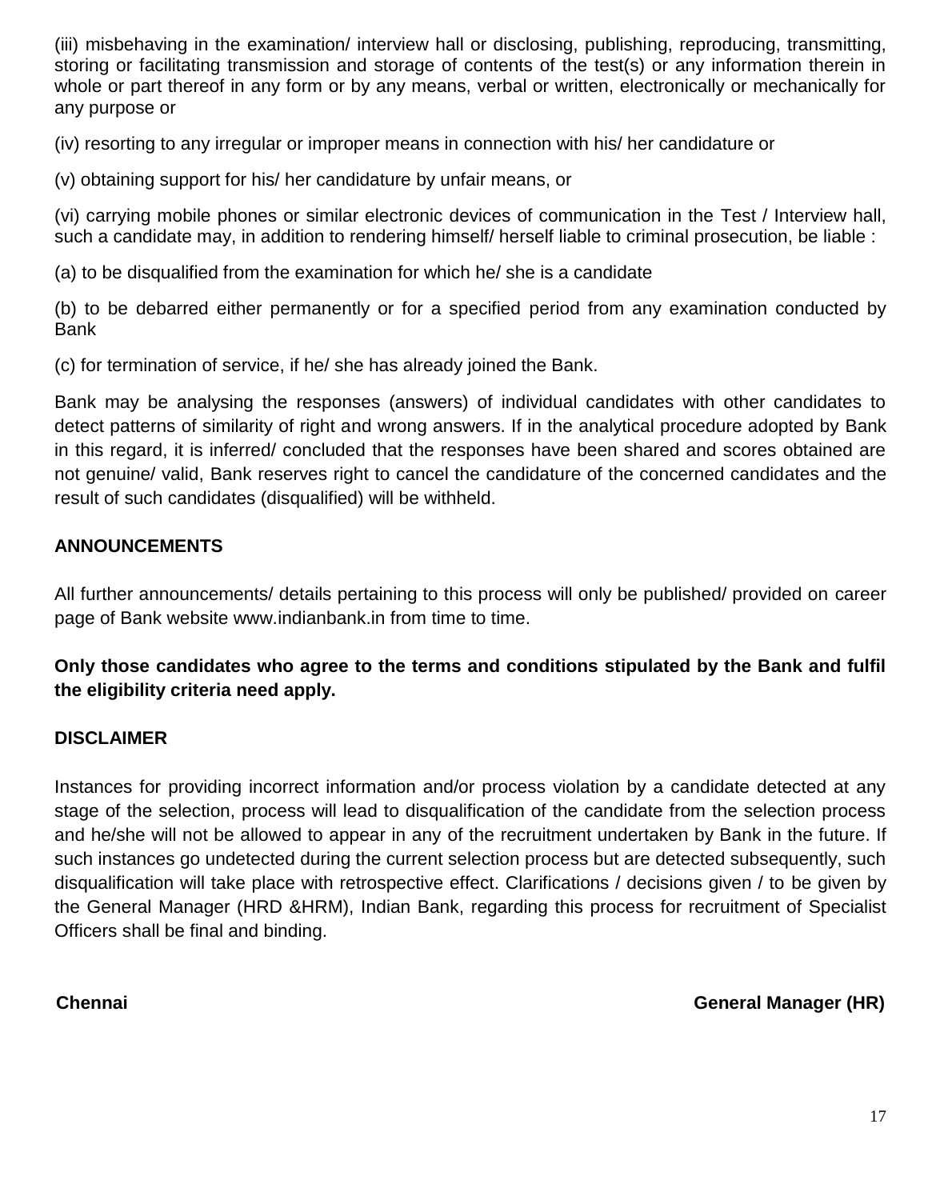(iii) misbehaving in the examination/ interview hall or disclosing, publishing, reproducing, transmitting, storing or facilitating transmission and storage of contents of the test(s) or any information therein in whole or part thereof in any form or by any means, verbal or written, electronically or mechanically for any purpose or

(iv) resorting to any irregular or improper means in connection with his/ her candidature or

(v) obtaining support for his/ her candidature by unfair means, or

(vi) carrying mobile phones or similar electronic devices of communication in the Test / Interview hall, such a candidate may, in addition to rendering himself/ herself liable to criminal prosecution, be liable :

(a) to be disqualified from the examination for which he/ she is a candidate

(b) to be debarred either permanently or for a specified period from any examination conducted by Bank

(c) for termination of service, if he/ she has already joined the Bank.

Bank may be analysing the responses (answers) of individual candidates with other candidates to detect patterns of similarity of right and wrong answers. If in the analytical procedure adopted by Bank in this regard, it is inferred/ concluded that the responses have been shared and scores obtained are not genuine/ valid, Bank reserves right to cancel the candidature of the concerned candidates and the result of such candidates (disqualified) will be withheld.

# **ANNOUNCEMENTS**

All further announcements/ details pertaining to this process will only be published/ provided on career page of Bank website www.indianbank.in from time to time.

**Only those candidates who agree to the terms and conditions stipulated by the Bank and fulfil the eligibility criteria need apply.**

### **DISCLAIMER**

Instances for providing incorrect information and/or process violation by a candidate detected at any stage of the selection, process will lead to disqualification of the candidate from the selection process and he/she will not be allowed to appear in any of the recruitment undertaken by Bank in the future. If such instances go undetected during the current selection process but are detected subsequently, such disqualification will take place with retrospective effect. Clarifications / decisions given / to be given by the General Manager (HRD &HRM), Indian Bank, regarding this process for recruitment of Specialist Officers shall be final and binding.

**Chennai General Manager (HR)**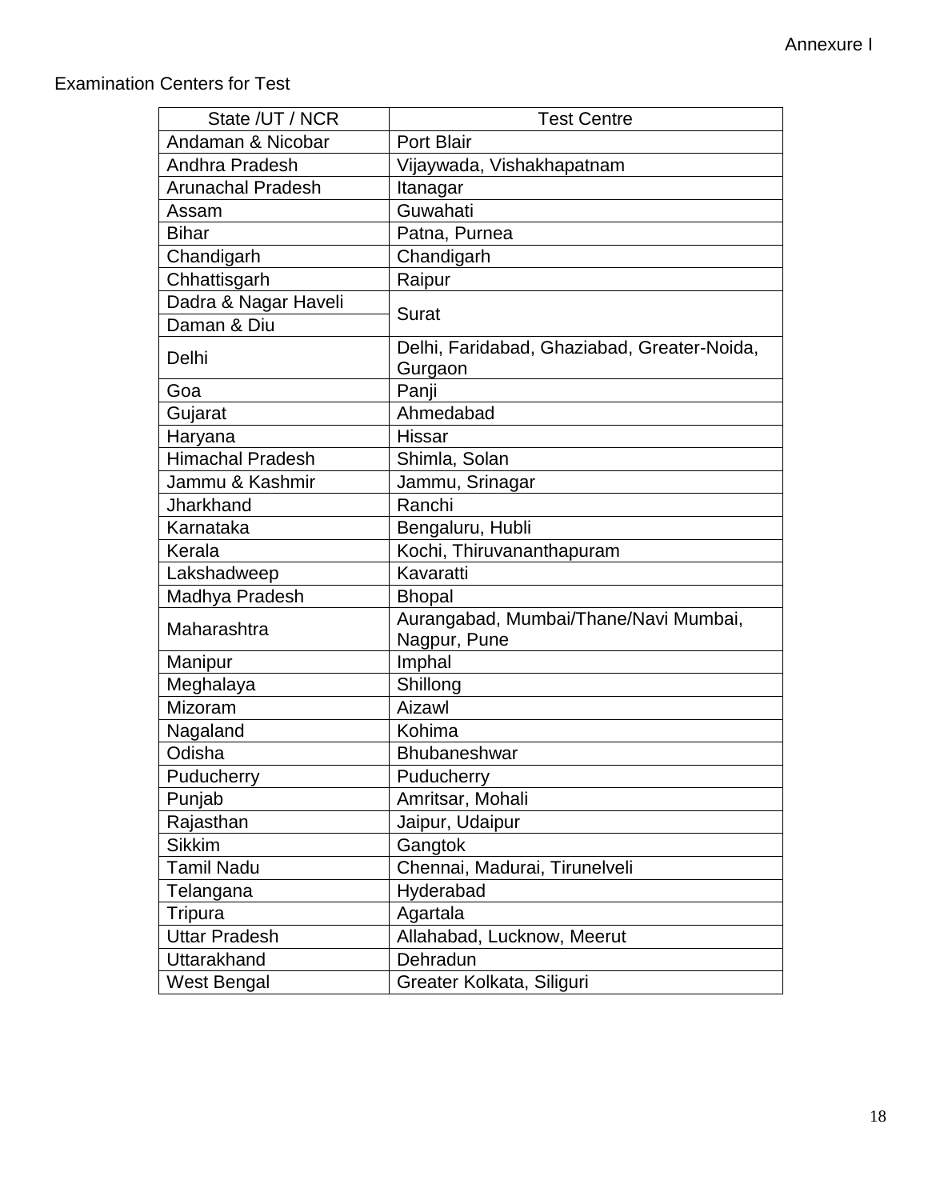# Examination Centers for Test

| State /UT / NCR         | <b>Test Centre</b>                                    |
|-------------------------|-------------------------------------------------------|
| Andaman & Nicobar       | <b>Port Blair</b>                                     |
| Andhra Pradesh          | Vijaywada, Vishakhapatnam                             |
| Arunachal Pradesh       | Itanagar                                              |
| Assam                   | Guwahati                                              |
| <b>Bihar</b>            | Patna, Purnea                                         |
| Chandigarh              | Chandigarh                                            |
| Chhattisgarh            | Raipur                                                |
| Dadra & Nagar Haveli    | <b>Surat</b>                                          |
| Daman & Diu             |                                                       |
| Delhi                   | Delhi, Faridabad, Ghaziabad, Greater-Noida,           |
| Goa                     | Gurgaon                                               |
|                         | Panji                                                 |
| Gujarat                 | Ahmedabad                                             |
| Haryana                 | <b>Hissar</b>                                         |
| <b>Himachal Pradesh</b> | Shimla, Solan                                         |
| Jammu & Kashmir         | Jammu, Srinagar                                       |
| Jharkhand               | Ranchi                                                |
| Karnataka               | Bengaluru, Hubli                                      |
| Kerala                  | Kochi, Thiruvananthapuram                             |
| Lakshadweep             | Kavaratti                                             |
| Madhya Pradesh          | <b>Bhopal</b>                                         |
| Maharashtra             | Aurangabad, Mumbai/Thane/Navi Mumbai,<br>Nagpur, Pune |
| Manipur                 | Imphal                                                |
| Meghalaya               | Shillong                                              |
| Mizoram                 | Aizawl                                                |
| Nagaland                | Kohima                                                |
| Odisha                  | <b>Bhubaneshwar</b>                                   |
| Puducherry              | Puducherry                                            |
| Punjab                  | Amritsar, Mohali                                      |
| Rajasthan               | Jaipur, Udaipur                                       |
| <b>Sikkim</b>           | Gangtok                                               |
| <b>Tamil Nadu</b>       | Chennai, Madurai, Tirunelveli                         |
| Telangana               | Hyderabad                                             |
| Tripura                 | Agartala                                              |
| <b>Uttar Pradesh</b>    | Allahabad, Lucknow, Meerut                            |
| Uttarakhand             | Dehradun                                              |
| <b>West Bengal</b>      | Greater Kolkata, Siliguri                             |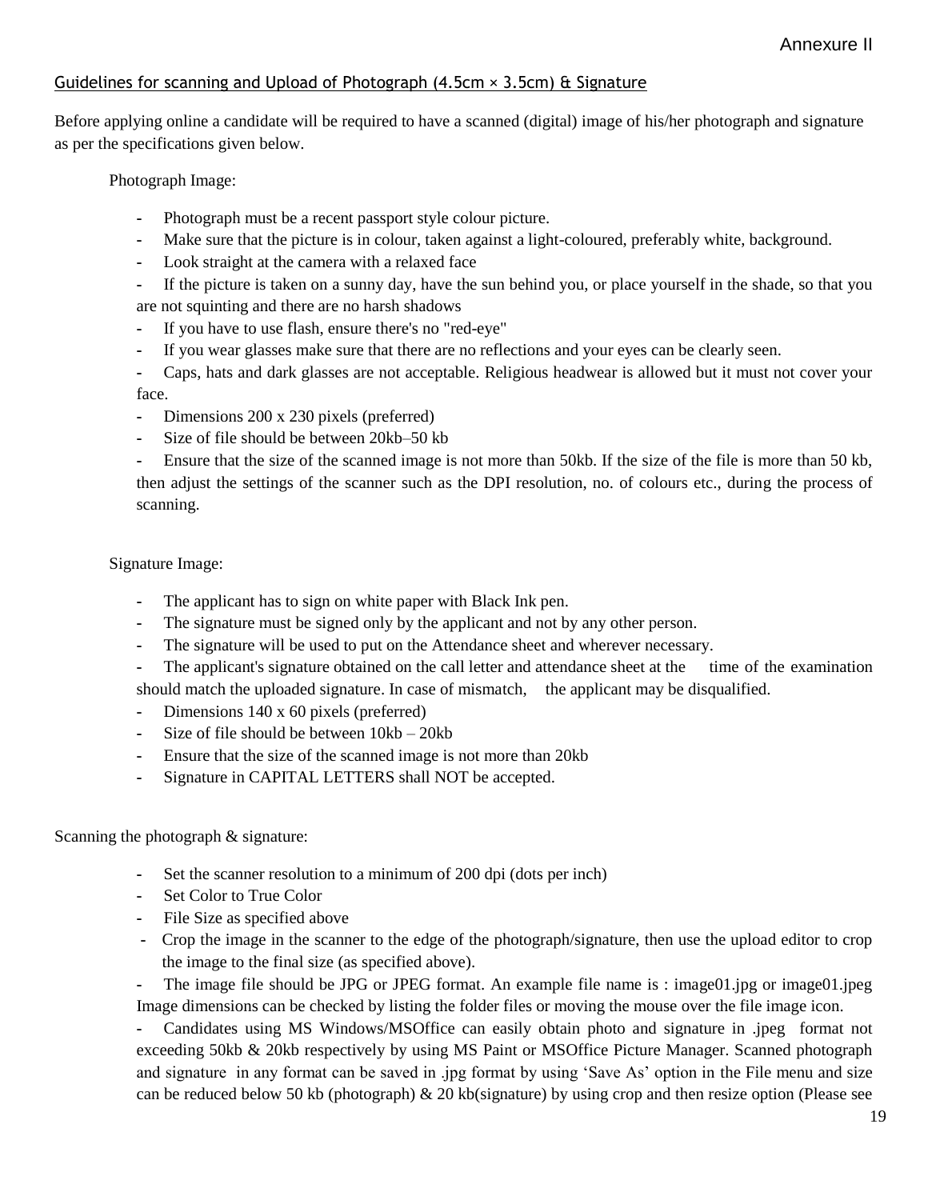#### Guidelines for scanning and Upload of Photograph  $(4.5cm \times 3.5cm)$  & Signature

Before applying online a candidate will be required to have a scanned (digital) image of his/her photograph and signature as per the specifications given below.

Photograph Image:

- **-** Photograph must be a recent passport style colour picture.
- **-** Make sure that the picture is in colour, taken against a light-coloured, preferably white, background.
- **-** Look straight at the camera with a relaxed face
- **-** If the picture is taken on a sunny day, have the sun behind you, or place yourself in the shade, so that you are not squinting and there are no harsh shadows
- **-** If you have to use flash, ensure there's no "red-eye"
- **-** If you wear glasses make sure that there are no reflections and your eyes can be clearly seen.
- **-** Caps, hats and dark glasses are not acceptable. Religious headwear is allowed but it must not cover your face.
- **-** Dimensions 200 x 230 pixels (preferred)
- **-** Size of file should be between 20kb–50 kb

**-** Ensure that the size of the scanned image is not more than 50kb. If the size of the file is more than 50 kb, then adjust the settings of the scanner such as the DPI resolution, no. of colours etc., during the process of scanning.

Signature Image:

- **-** The applicant has to sign on white paper with Black Ink pen.
- **-** The signature must be signed only by the applicant and not by any other person.
- **-** The signature will be used to put on the Attendance sheet and wherever necessary.
- **-** The applicant's signature obtained on the call letter and attendance sheet at the time of the examination should match the uploaded signature. In case of mismatch, the applicant may be disqualified.
- **-** Dimensions 140 x 60 pixels (preferred)
- **-** Size of file should be between 10kb 20kb
- **-** Ensure that the size of the scanned image is not more than 20kb
- **-** Signature in CAPITAL LETTERS shall NOT be accepted.

Scanning the photograph & signature:

- **-** Set the scanner resolution to a minimum of 200 dpi (dots per inch)
- **-** Set Color to True Color
- **-** File Size as specified above
- **-** Crop the image in the scanner to the edge of the photograph/signature, then use the upload editor to crop the image to the final size (as specified above).

**-** The image file should be JPG or JPEG format. An example file name is : image01.jpg or image01.jpeg Image dimensions can be checked by listing the folder files or moving the mouse over the file image icon.

**-** Candidates using MS Windows/MSOffice can easily obtain photo and signature in .jpeg format not exceeding 50kb & 20kb respectively by using MS Paint or MSOffice Picture Manager. Scanned photograph and signature in any format can be saved in .jpg format by using "Save As" option in the File menu and size can be reduced below 50 kb (photograph)  $\&$  20 kb(signature) by using crop and then resize option (Please see